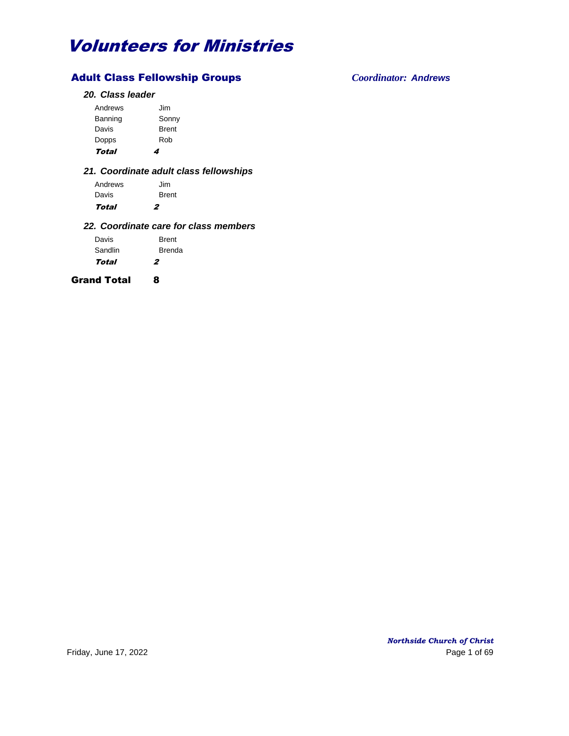## Adult Class Fellowship Groups *Coordinator: Andrews*

## *20. Class leader*

| Total   | 4            |
|---------|--------------|
| Dopps   | Rob          |
| Davis   | <b>Brent</b> |
| Banning | Sonny        |
| Andrews | Jim          |
|         |              |

## *21. Coordinate adult class fellowships*

| Andrews | Jim          |
|---------|--------------|
| Davis   | <b>Brent</b> |
| Total   | 2            |

## *22. Coordinate care for class members*

| Davis   | <b>Brent</b>  |
|---------|---------------|
| Sandlin | <b>Brenda</b> |
| Total   | 2             |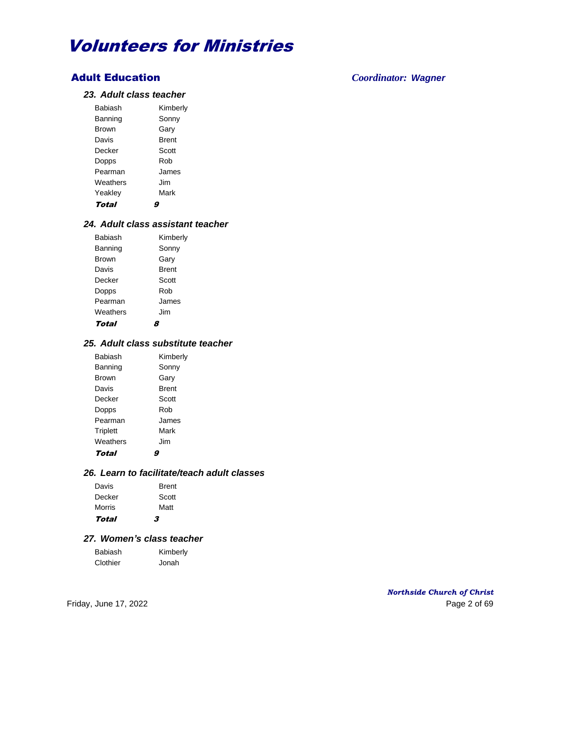## Adult Education *Coordinator: Wagner*

### *23. Adult class teacher*

| Babiash      | Kimberly     |
|--------------|--------------|
| Banning      | Sonny        |
| <b>Brown</b> | Garv         |
| Davis        | <b>Brent</b> |
| Decker       | Scott        |
| Dopps        | Rob          |
| Pearman      | James        |
| Weathers     | . Jim        |
| Yeakley      | Mark         |
| Total        |              |

### *24. Adult class assistant teacher*

| <b>Babiash</b> | Kimberly     |
|----------------|--------------|
| Banning        | Sonny        |
| <b>Brown</b>   | Gary         |
| Davis          | <b>Brent</b> |
| Decker         | Scott        |
| Dopps          | Rob          |
| Pearman        | James        |
| Weathers       | Jim          |
| Total          |              |

## *25. Adult class substitute teacher*

| <b>Babiash</b> | Kimberly     |
|----------------|--------------|
| Banning        | Sonny        |
| <b>Brown</b>   | Garv         |
| Davis          | <b>Brent</b> |
| Decker         | Scott        |
| Dopps          | Rob          |
| Pearman        | James        |
| Triplett       | Mark         |
| Weathers       | Jim          |
| Total          |              |

## *26. Learn to facilitate/teach adult classes*

| Davis  | <b>Brent</b> |
|--------|--------------|
| Decker | Scott        |
| Morris | Matt         |
| Total  | 3            |

## *27. Women's class teacher*

| Babiash  | Kimberly |
|----------|----------|
| Clothier | Jonah    |

*Northside Church of Christ* Friday, June 17, 2022 200 12:00 Page 2 of 69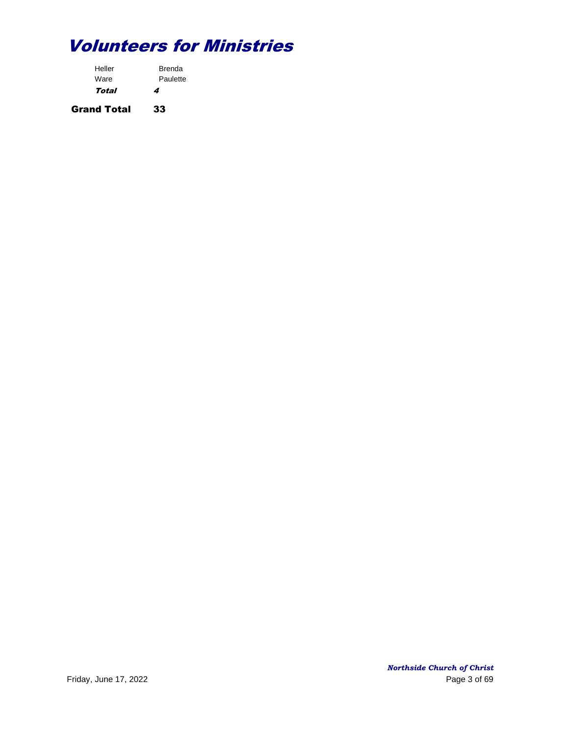| Heller | <b>Brenda</b> |
|--------|---------------|
| Ware   | Paulette      |
| Total  | 4             |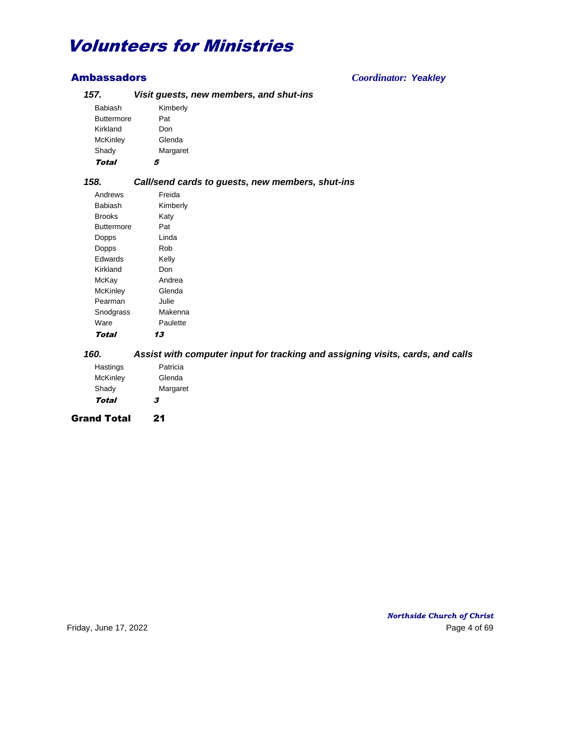| 157.              | Visit guests, new members, and shut-ins          |
|-------------------|--------------------------------------------------|
| Babiash           | Kimberly                                         |
| <b>Buttermore</b> | Pat                                              |
| Kirkland          | Don                                              |
| <b>McKinley</b>   | Glenda                                           |
| Shady             | Margaret                                         |
| <b>Total</b>      | 5                                                |
| 158.              | Call/send cards to guests, new members, shut-ins |
| Andrews           | Freida                                           |
| Babiash           | Kimberly                                         |
| <b>Brooks</b>     | Katy                                             |
| <b>Buttermore</b> | Pat                                              |
| Dopps             | Linda                                            |
| Dopps             | Rob                                              |
| Edwards           | Kelly                                            |
| Kirkland          | Don                                              |
| McKay             | Andrea                                           |
| McKinley          | Glenda                                           |
| Pearman           | Julie                                            |
| Snodgrass         | Makenna                                          |
| Ware              | Paulette                                         |
| <b>Total</b>      | 13                                               |

*160. Assist with computer input for tracking and assigning visits, cards, and calls* Hastings Patricia

| Total     | 3        |
|-----------|----------|
| Shady     | Margaret |
| McKinley  | Glenda   |
| ı ıasunya | т англа  |

Grand Total 21

Ambassadors *Coordinator: Yeakley*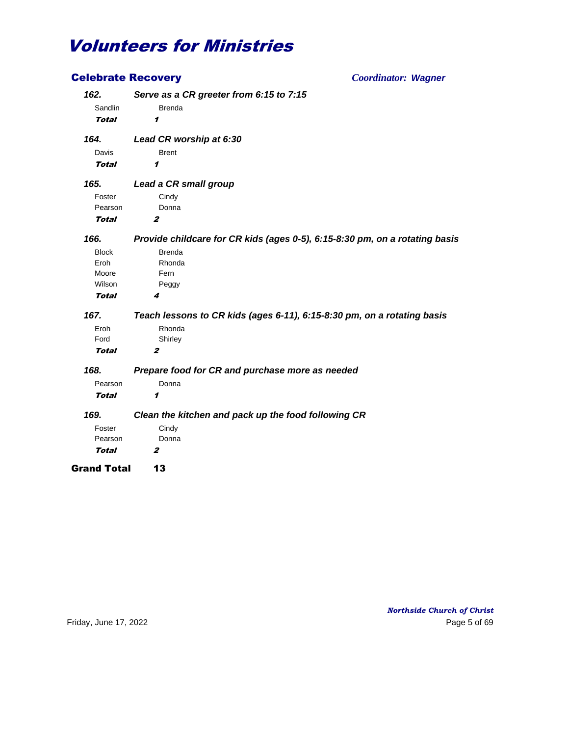| <b>Celebrate Recovery</b> | <b>Coordinator: Wagner</b>                                                  |
|---------------------------|-----------------------------------------------------------------------------|
| 162.                      | Serve as a CR greeter from 6:15 to 7:15                                     |
| Sandlin                   | <b>Brenda</b>                                                               |
| Total                     | 1                                                                           |
| 164.                      | Lead CR worship at 6:30                                                     |
| Davis                     | <b>Brent</b>                                                                |
| Total                     | 1                                                                           |
| 165.                      | Lead a CR small group                                                       |
| Foster                    | Cindy                                                                       |
| Pearson                   | Donna                                                                       |
| <b>Total</b>              | $\boldsymbol{z}$                                                            |
| 166.                      | Provide childcare for CR kids (ages 0-5), 6:15-8:30 pm, on a rotating basis |
| <b>Block</b>              | <b>Brenda</b>                                                               |
| Eroh                      | Rhonda                                                                      |
| Moore                     | Fern                                                                        |
| Wilson                    | Peggy                                                                       |
| Total                     | 4                                                                           |
| 167.                      | Teach lessons to CR kids (ages 6-11), 6:15-8:30 pm, on a rotating basis     |
| Eroh                      | Rhonda                                                                      |
| Ford                      | Shirley                                                                     |
| <b>Total</b>              | $\boldsymbol{z}$                                                            |
| 168.                      | Prepare food for CR and purchase more as needed                             |
| Pearson                   | Donna                                                                       |
| Total                     | 1                                                                           |
| 169.                      | Clean the kitchen and pack up the food following CR                         |
| Foster                    | Cindy                                                                       |
| Pearson                   | Donna                                                                       |
| Total                     | $\boldsymbol{z}$                                                            |
| <b>Grand Total</b>        | 13                                                                          |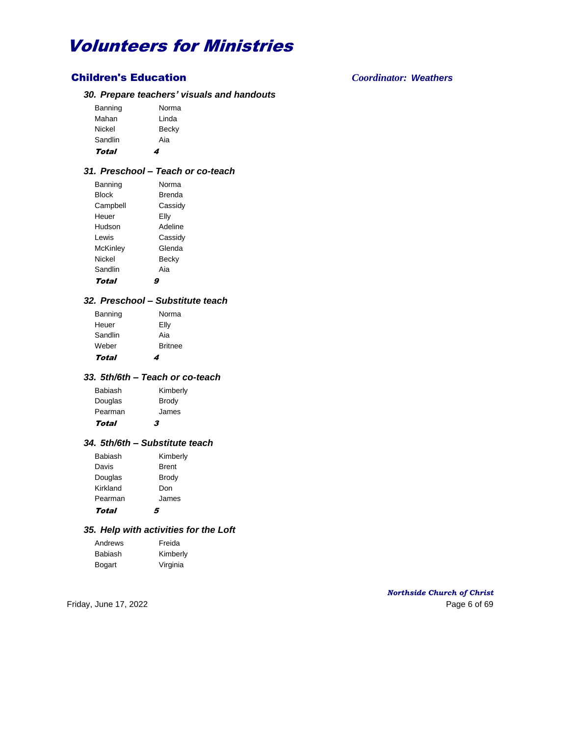## Children's Education *Coordinator: Weathers*

### *30. Prepare teachers' visuals and handouts*

| Becky<br>Aia |
|--------------|
| Linda        |
| Norma        |
|              |

### *31. Preschool – Teach or co-teach*

| Banning      | Norma         |
|--------------|---------------|
| <b>Block</b> | <b>Brenda</b> |
| Campbell     | Cassidy       |
| Heuer        | Elly          |
| Hudson       | Adeline       |
| I ewis       | Cassidy       |
| McKinley     | Glenda        |
| Nickel       | Becky         |
| Sandlin      | Aia           |
| Total        |               |

### *32. Preschool – Substitute teach*

| Banning | Norma          |
|---------|----------------|
| Heuer   | Elly           |
| Sandlin | Aia            |
| Weber   | <b>Britnee</b> |
| Total   | 4              |

## *33. 5th/6th – Teach or co-teach*

| 3            |
|--------------|
| James        |
| <b>Brody</b> |
| Kimberly     |
|              |

### *34. 5th/6th – Substitute teach*

| Total    | 5            |
|----------|--------------|
| Pearman  | James        |
| Kirkland | Don          |
| Douglas  | <b>Brody</b> |
| Davis    | <b>Brent</b> |
| Babiash  | Kimberly     |
|          |              |

### *35. Help with activities for the Loft*

| Andrews       | Freida   |
|---------------|----------|
| Babiash       | Kimberly |
| <b>Bogart</b> | Virginia |

*Northside Church of Christ* Friday, June 17, 2022 **Page 6 of 69**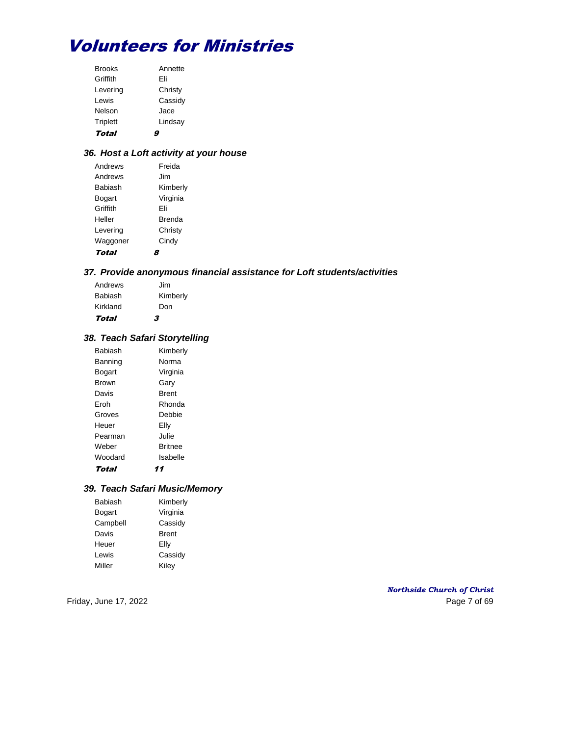| <b>Brooks</b>   | Annette |
|-----------------|---------|
| Griffith        | Fli     |
| Levering        | Christy |
| Lewis           | Cassidy |
| Nelson          | Jace    |
| <b>Triplett</b> | Lindsay |
| Total           |         |

## *36. Host a Loft activity at your house*

| Andrews  | Freida        |
|----------|---------------|
| Andrews  | . Jim         |
| Babiash  | Kimberly      |
| Bogart   | Virginia      |
| Griffith | Fli           |
| Heller   | <b>Brenda</b> |
| Levering | Christy       |
| Waggoner | Cindy         |
| Total    |               |

## *37. Provide anonymous financial assistance for Loft students/activities*

| Babiash  | Kimberly |
|----------|----------|
| Kirkland | Don      |
| Total    | 3        |

## *38. Teach Safari Storytelling*

| <b>Babiash</b> | Kimberly |
|----------------|----------|
| Banning        | Norma    |
| Bogart         | Virginia |
| <b>Brown</b>   | Garv     |
| Davis          | Brent    |
| Eroh           | Rhonda   |
| Groves         | Debbie   |
| Heuer          | Elly     |
| Pearman        | Julie.   |
| Weber          | Britnee  |
| Woodard        | Isabelle |
| Total          | 11       |

## *39. Teach Safari Music/Memory*

| Babiash  | Kimberly     |
|----------|--------------|
| Bogart   | Virginia     |
| Campbell | Cassidy      |
| Davis    | <b>Brent</b> |
| Heuer    | Elly         |
| Lewis    | Cassidy      |
| Miller   | Kiley        |

## *Northside Church of Christ* Friday, June 17, 2022 2008 and the state of the Page 7 of 69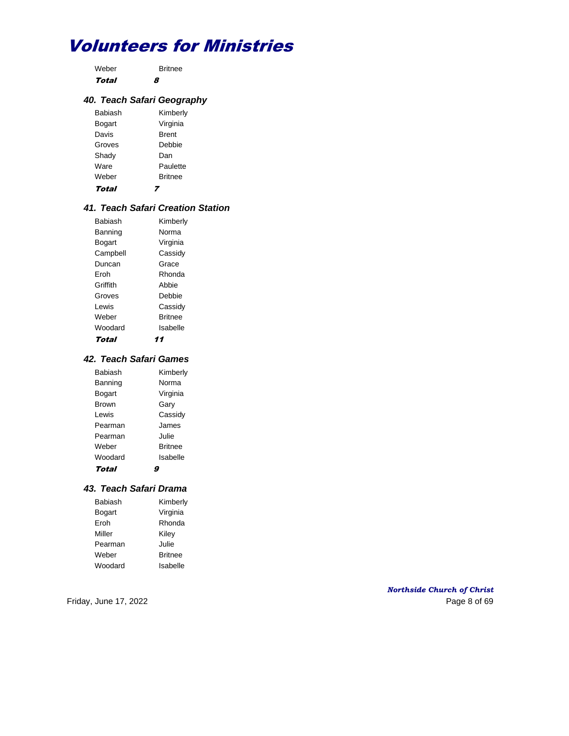Weber Britnee Total 8

## *40. Teach Safari Geography*

| Babiash | Kimberly       |
|---------|----------------|
| Bogart  | Virginia       |
| Davis   | <b>Brent</b>   |
| Groves  | Debbie         |
| Shady   | Dan            |
| Ware    | Paulette       |
| Weber   | <b>Britnee</b> |
| Total   |                |

## *41. Teach Safari Creation Station*

| <b>Babiash</b> | Kimberly       |
|----------------|----------------|
| Banning        | Norma          |
| Bogart         | Virginia       |
| Campbell       | Cassidy        |
| Duncan         | Grace          |
| Froh           | Rhonda         |
| Griffith       | Abbie          |
| Groves         | Debbie         |
| I ewis         | Cassidy        |
| Weber          | <b>Britnee</b> |
| Woodard        | Isabelle       |
| Total          | 11             |

## *42. Teach Safari Games*

| Kimberly       |
|----------------|
| Norma          |
| Virginia       |
| Garv           |
| Cassidy        |
| James          |
| Julie.         |
| <b>Britnee</b> |
| Isabelle       |
|                |
|                |

#### *43. Teach Safari Drama*

| Babiash | Kimberly       |
|---------|----------------|
| Bogart  | Virginia       |
| Eroh    | Rhonda         |
| Miller  | Kiley          |
| Pearman | Julie          |
| Weber   | <b>Britnee</b> |
| Woodard | Isabelle       |

*Northside Church of Christ* Friday, June 17, 2022 Page 8 of 69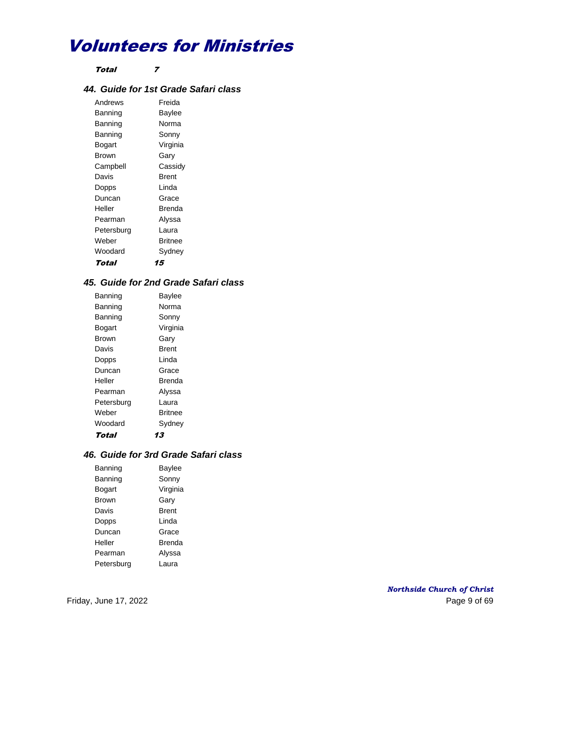Total 7

## *44. Guide for 1st Grade Safari class*

Andrews Freida Banning Baylee Banning Norma Banning Sonny Bogart Virginia Brown Gary Campbell Cassidy Davis **Brent** Dopps Linda Duncan Grace Heller Brenda Pearman Alyssa Petersburg Laura Weber Britnee Woodard Sydney Total 15

## *45. Guide for 2nd Grade Safari class*

| Banning    | <b>Baylee</b>  |
|------------|----------------|
| Banning    | Norma          |
| Banning    | Sonny          |
| Bogart     | Virginia       |
| Brown      | Garv           |
| Davis      | Brent          |
| Dopps      | I inda         |
| Duncan     | Grace          |
| Heller     | Brenda         |
| Pearman    | Alyssa         |
| Petersburg | Laura          |
| Weber      | <b>Rritnee</b> |
| Woodard    | Sydney         |
| Total      | 13             |

### *46. Guide for 3rd Grade Safari class*

| Banning      | Baylee   |
|--------------|----------|
| Banning      | Sonny    |
| Bogart       | Virginia |
| <b>Brown</b> | Gary     |
| Davis        | Brent    |
| Dopps        | I inda   |
| Duncan       | Grace    |
| Heller       | Brenda   |
| Pearman      | Alyssa   |
| Petersburg   | Laura    |

*Northside Church of Christ* Friday, June 17, 2022 **Page 9 of 69**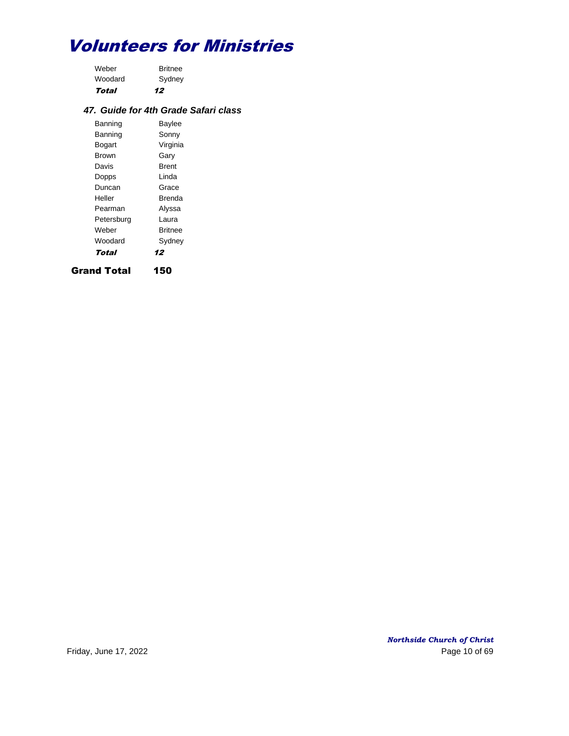| Total   | 12             |
|---------|----------------|
| Woodard | Sydney         |
| Weber   | <b>Britnee</b> |

## *47. Guide for 4th Grade Safari class*

| Banning    | <b>Baylee</b>  |
|------------|----------------|
| Banning    | Sonny          |
| Bogart     | Virginia       |
| Brown      | Gary           |
| Davis      | Brent          |
| Dopps      | I inda         |
| Duncan     | Grace          |
| Heller     | Brenda         |
| Pearman    | Alyssa         |
| Petersburg | Laura          |
| Weber      | <b>Britnee</b> |
| Woodard    | Sydney         |
| Total      | 12             |

Grand Total 150

*Northside Church of Christ* Friday, June 17, 2022 Page 10 of 69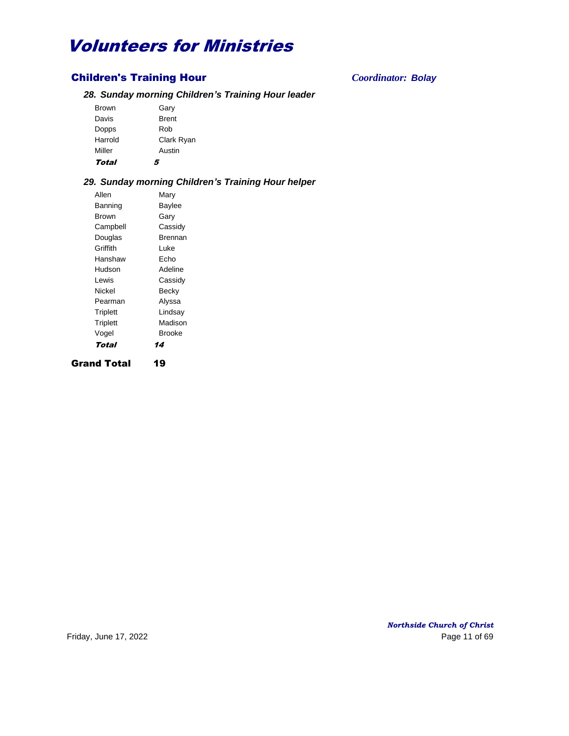## Children's Training Hour *Coordinator: Bolay*

## *28. Sunday morning Children's Training Hour leader*

| Total        | 5            |
|--------------|--------------|
| Miller       | Austin       |
| Harrold      | Clark Ryan   |
| Dopps        | Rob          |
| Davis        | <b>Brent</b> |
| <b>Brown</b> | Gary         |
|              |              |

## *29. Sunday morning Children's Training Hour helper*

Allen Mary Banning Baylee Brown Gary Campbell Cassidy Douglas Brennan Griffith Luke Hanshaw Echo Hudson Adeline Lewis Cassidy Nickel Becky Pearman Alyssa Triplett Lindsay Triplett Madison Vogel Brooke Total 14 Grand Total 19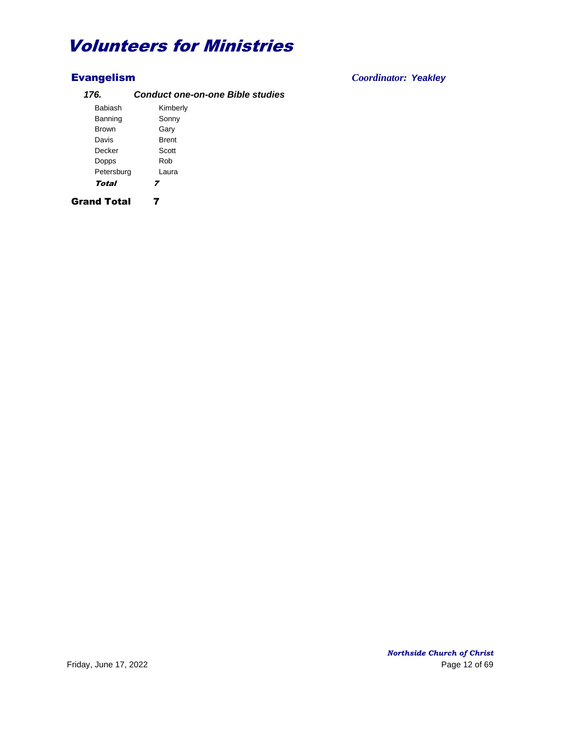## *176. Conduct one-on-one Bible studies*

| Babiash            | Kimberly     |  |
|--------------------|--------------|--|
| Banning            | Sonny        |  |
| <b>Brown</b>       | Gary         |  |
| Davis              | <b>Brent</b> |  |
| Decker             | Scott        |  |
| Dopps              | Rob          |  |
| Petersburg         | Laura        |  |
| Total              | 7            |  |
| <b>Grand Total</b> |              |  |

Evangelism *Coordinator: Yeakley*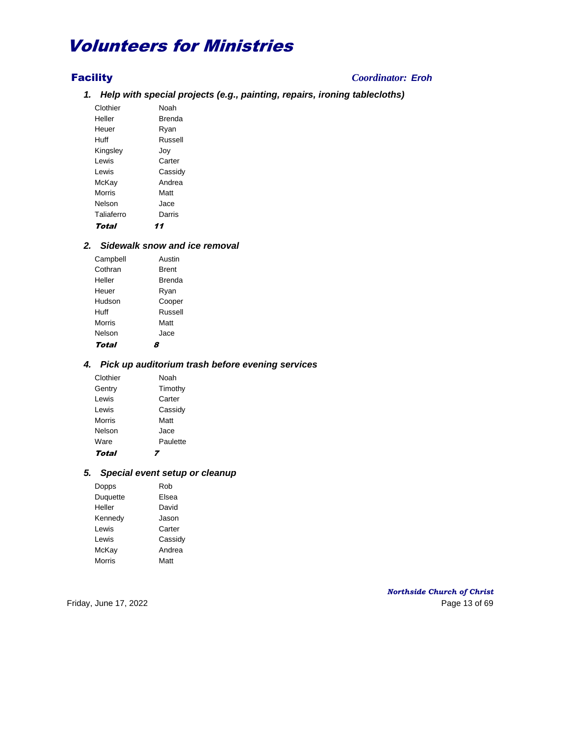## Facility *Coordinator: Eroh*

*1. Help with special projects (e.g., painting, repairs, ironing tablecloths)*

Clothier Noah Heller **Brenda** Heuer Ryan Huff Russell Kingsley Joy Lewis Carter Lewis Cassidy McKay Andrea Morris Matt Nelson Jace Taliaferro Darris Total 11

## *2. Sidewalk snow and ice removal*

| Campbell | Austin       |
|----------|--------------|
| Cothran  | <b>Brent</b> |
| Heller   | Brenda       |
| Heuer    | Ryan         |
| Hudson   | Cooper       |
| Huff     | Russell      |
| Morris   | Matt         |
| Nelson   | Jace         |
| Total    |              |

### *4. Pick up auditorium trash before evening services*

| Total    |          |
|----------|----------|
| Ware     | Paulette |
| Nelson   | Jace     |
| Morris   | Matt     |
| Lewis    | Cassidy  |
| Lewis    | Carter   |
| Gentry   | Timothy  |
| Clothier | Noah     |

### *5. Special event setup or cleanup*

| Dopps         | Rob     |
|---------------|---------|
| Duquette      | Elsea   |
| Heller        | David   |
| Kennedy       | Jason   |
| I ewis        | Carter  |
| Lewis         | Cassidy |
| McKay         | Andrea  |
| <b>Morris</b> | Matt    |

*Northside Church of Christ* Friday, June 17, 2022 **Page 13 of 69**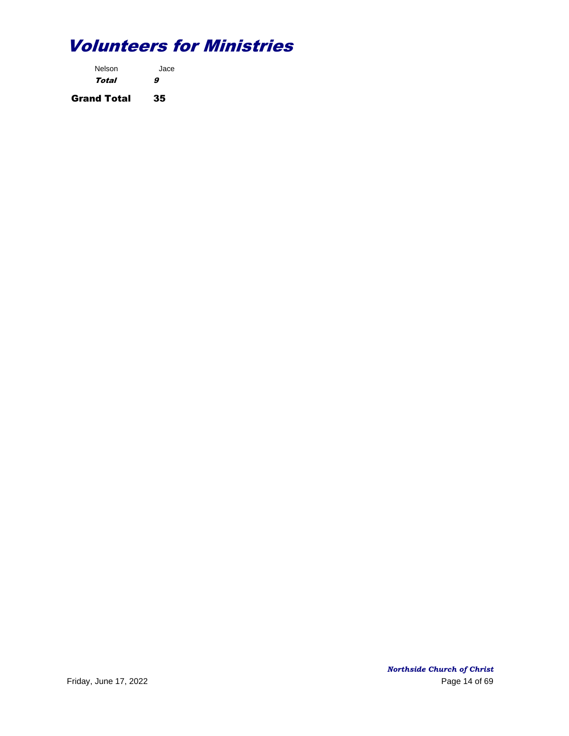| Nelson             | Jace |
|--------------------|------|
| Total              | 9    |
| <b>Grand Total</b> | 35   |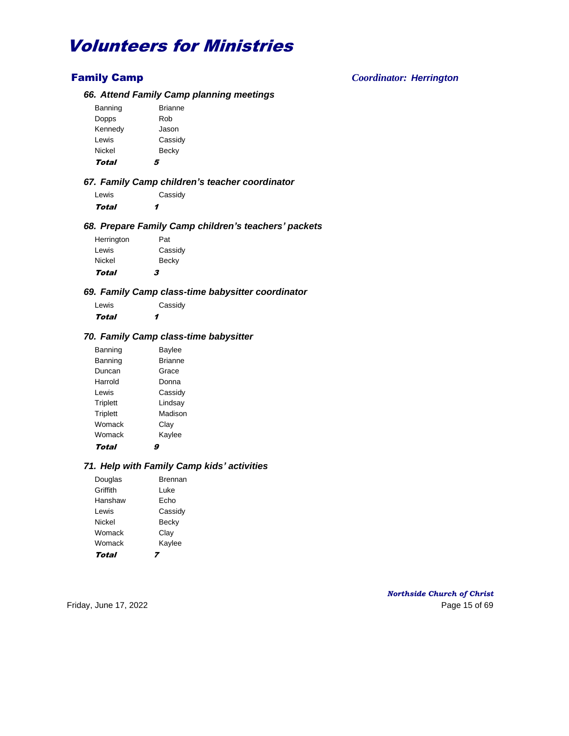## Family Camp *Coordinator: Herrington*

### *66. Attend Family Camp planning meetings*

| 4              |
|----------------|
| Becky          |
| Cassidy        |
| Jason          |
| Rob            |
| <b>Brianne</b> |
|                |

### *67. Family Camp children's teacher coordinator*

Lewis Cassidy Total 1

### *68. Prepare Family Camp children's teachers' packets*

| Total      | 3       |
|------------|---------|
| Nickel     | Becky   |
| Lewis      | Cassidy |
| Herrington | Pat     |
|            |         |
|            |         |

#### *69. Family Camp class-time babysitter coordinator*

| Lewis | Cassidy |
|-------|---------|
| Total | 1       |

## *70. Family Camp class-time babysitter*

| Banning         | <b>Baylee</b>  |
|-----------------|----------------|
| Banning         | <b>Brianne</b> |
| Duncan          | Grace          |
| Harrold         | Donna          |
| Lewis           | Cassidy        |
| Triplett        | Lindsay        |
| <b>Triplett</b> | Madison        |
| Womack          | Clay           |
| Womack          | Kaylee         |
| Total           |                |

### *71. Help with Family Camp kids' activities*

| Douglas  | Brennan |
|----------|---------|
| Griffith | l uke   |
| Hanshaw  | Fcho    |
| I ewis   | Cassidy |
| Nickel   | Becky   |
| Womack   | Clay    |
| Womack   | Kaylee  |
| Total    |         |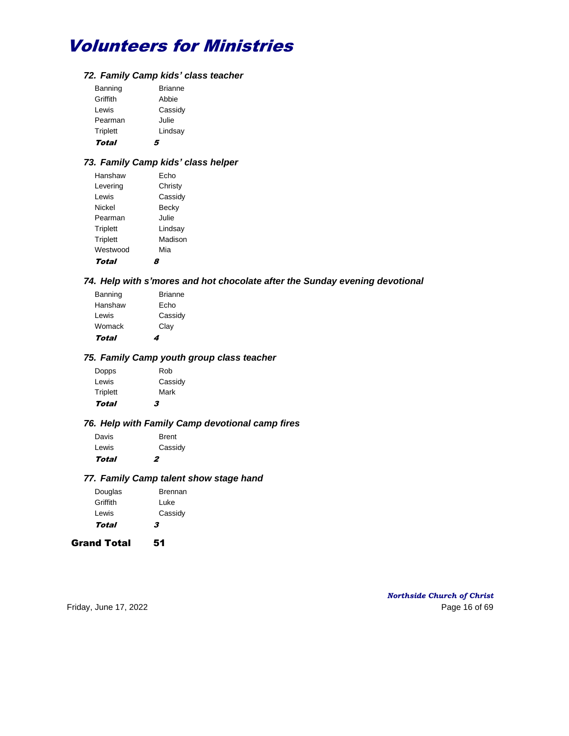### *72. Family Camp kids' class teacher*

| Triplett         | Lindsay          |
|------------------|------------------|
| Lewis<br>Pearman | Cassidy<br>Julie |
| Griffith         | Abbie            |
| Banning          | <b>Brianne</b>   |

## *73. Family Camp kids' class helper*

| Hanshaw         | Fcho    |
|-----------------|---------|
| Levering        | Christy |
| Lewis           | Cassidy |
| Nickel          | Becky   |
| Pearman         | Julie   |
| Triplett        | Lindsay |
| <b>Triplett</b> | Madison |
| Westwood        | Mia     |
| Total           |         |

### *74. Help with s'mores and hot chocolate after the Sunday evening devotional*

| Total   | 4              |
|---------|----------------|
| Womack  | Clay           |
| Lewis   | Cassidy        |
| Hanshaw | Echo           |
| Banning | <b>Brianne</b> |

## *75. Family Camp youth group class teacher*

| Total           | 3       |
|-----------------|---------|
| <b>Triplett</b> | Mark    |
| Lewis           | Cassidy |
| Dopps           | Rob     |

## *76. Help with Family Camp devotional camp fires*

| Total | 2            |
|-------|--------------|
| Lewis | Cassidy      |
| Davis | <b>Brent</b> |

#### *77. Family Camp talent show stage hand*

| Douglas  | <b>Brennan</b> |
|----------|----------------|
| Griffith | Luke           |
| Lewis    | Cassidy        |
| Total    | 3              |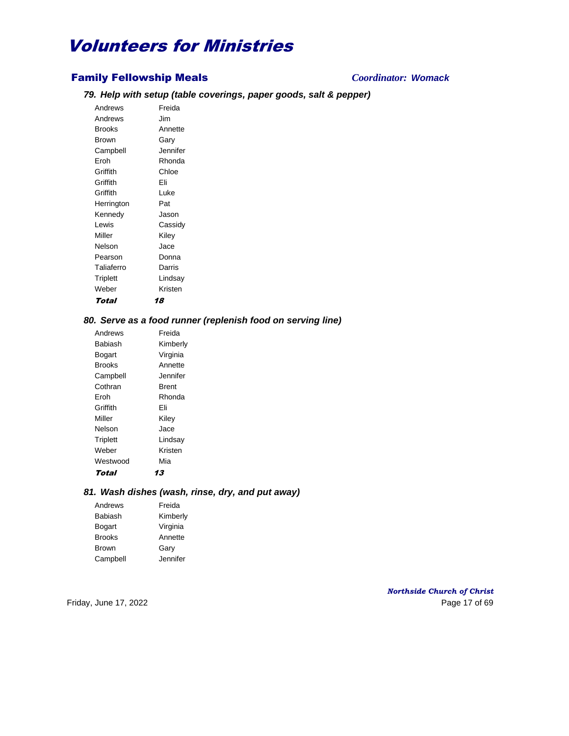## Family Fellowship Meals *Coordinator: Womack*

## *79. Help with setup (table coverings, paper goods, salt & pepper)*

Andrews Freida Andrews Jim Brooks Annette Brown Gary Campbell Jennifer Eroh Rhonda Griffith Chloe Griffith Eli Griffith Luke Herrington Pat Kennedy Jason Lewis Cassidy Miller Kiley Nelson Jace Pearson Donna Taliaferro Darris Triplett Lindsay Weber Kristen Total 18

#### *80. Serve as a food runner (replenish food on serving line)*

| Andrews         | Freida   |
|-----------------|----------|
| Babiash         | Kimberly |
| Bogart          | Virginia |
| Brooks          | Annette  |
| Campbell        | Jennifer |
| Cothran         | Brent    |
| Froh            | Rhonda   |
| Griffith        | Fli      |
| Miller          | Kiley    |
| Nelson          | Jace     |
| <b>Triplett</b> | Lindsay  |
| Weber           | Kristen  |
| Westwood        | Mia      |
| Total           | 13       |

#### *81. Wash dishes (wash, rinse, dry, and put away)*

| Andrews       | Freida   |
|---------------|----------|
| Babiash       | Kimberly |
| Bogart        | Virginia |
| <b>Brooks</b> | Annette  |
| <b>Brown</b>  | Gary     |
| Campbell      | Jennifer |

*Northside Church of Christ* Friday, June 17, 2022 **Page 17** of 69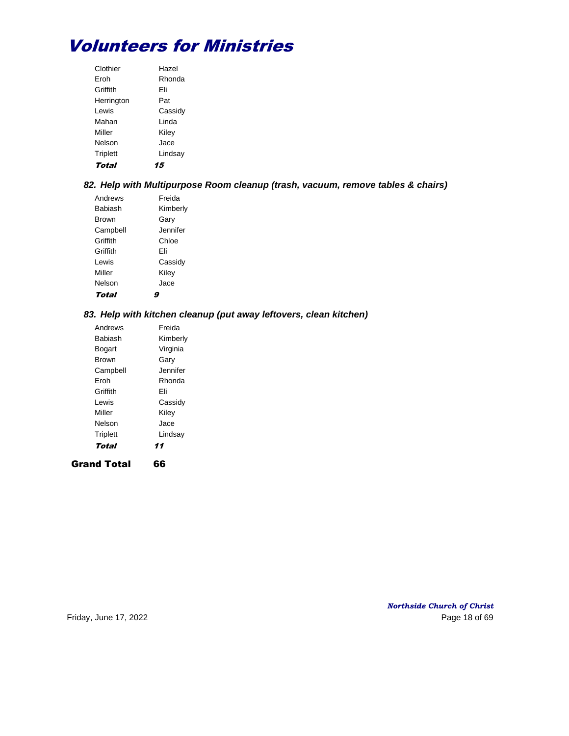| Clothier   | Hazel   |
|------------|---------|
| Froh       | Rhonda  |
| Griffith   | Fli     |
| Herrington | Pat     |
| I ewis     | Cassidy |
| Mahan      | I inda  |
| Miller     | Kiley   |
| Nelson     | Jace    |
| Triplett   | Lindsay |
| Total      |         |

## *82. Help with Multipurpose Room cleanup (trash, vacuum, remove tables & chairs)*

| Andrews      | Freida   |
|--------------|----------|
| Babiash      | Kimberly |
| <b>Brown</b> | Garv     |
| Campbell     | Jennifer |
| Griffith     | Chloe    |
| Griffith     | Fli      |
| I ewis       | Cassidy  |
| Miller       | Kiley    |
| Nelson       | Jace     |
| Total        |          |

## *83. Help with kitchen cleanup (put away leftovers, clean kitchen)*

| Total           | 11       |
|-----------------|----------|
| <b>Triplett</b> | Lindsay  |
| Nelson          | Jace     |
| Miller          | Kiley    |
| Lewis           | Cassidy  |
| Griffith        | Fli      |
| Froh            | Rhonda   |
| Campbell        | Jennifer |
| Brown           | Garv     |
| Bogart          | Virginia |
| Babiash         | Kimberly |
| Andrews         | Freida   |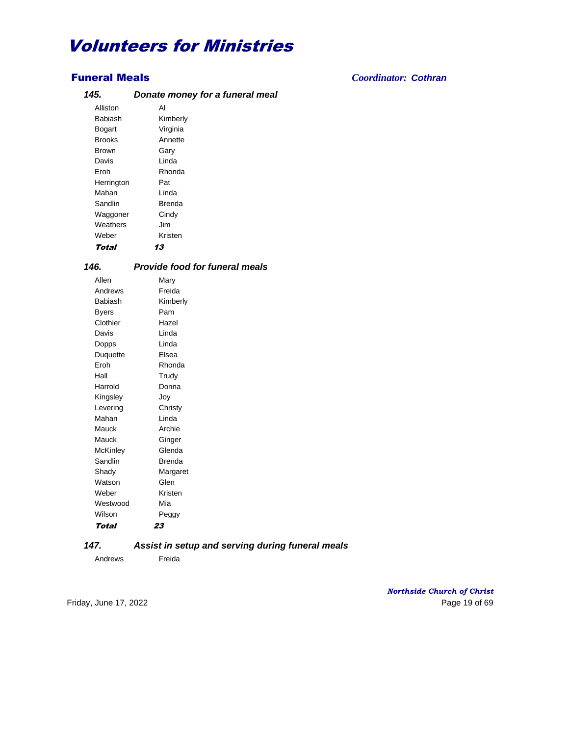## *145. Donate money for a funeral meal*

| Total         | 13       |
|---------------|----------|
| Weber         | Kristen  |
| Weathers      | Jim      |
| Waggoner      | Cindy    |
| Sandlin       | Brenda   |
| Mahan         | Linda    |
| Herrington    | Pat      |
| Eroh          | Rhonda   |
| Davis         | Linda    |
| Brown         | Garv     |
| <b>Brooks</b> | Annette  |
| Bogart        | Virginia |
| Babiash       | Kimberly |
| Alliston      | AI       |

## *146. Provide food for funeral meals*

| Allen           | Mary     |
|-----------------|----------|
| Andrews         | Freida   |
| Babiash         | Kimberly |
| <b>Byers</b>    | Pam      |
| Clothier        | Hazel    |
| Davis           | Linda    |
| Dopps           | Linda    |
| Duquette        | Fisea    |
| Eroh            | Rhonda   |
| Hall            | Trudy    |
| Harrold         | Donna    |
| Kingsley        | Joy      |
| Levering        | Christy  |
| Mahan           | I inda   |
| Mauck           | Archie   |
| Mauck           | Ginger   |
| <b>McKinley</b> | Glenda   |
| Sandlin         | Brenda   |
| Shady           | Margaret |
| Watson          | Glen     |
| Weber           | Kristen  |
| Westwood        | Mia      |
| Wilson          | Peggy    |
| Total           | 23       |

## *147. Assist in setup and serving during funeral meals*

Andrews Freida

Funeral Meals *Coordinator: Cothran*

*Northside Church of Christ* Friday, June 17, 2022 Page 19 of 69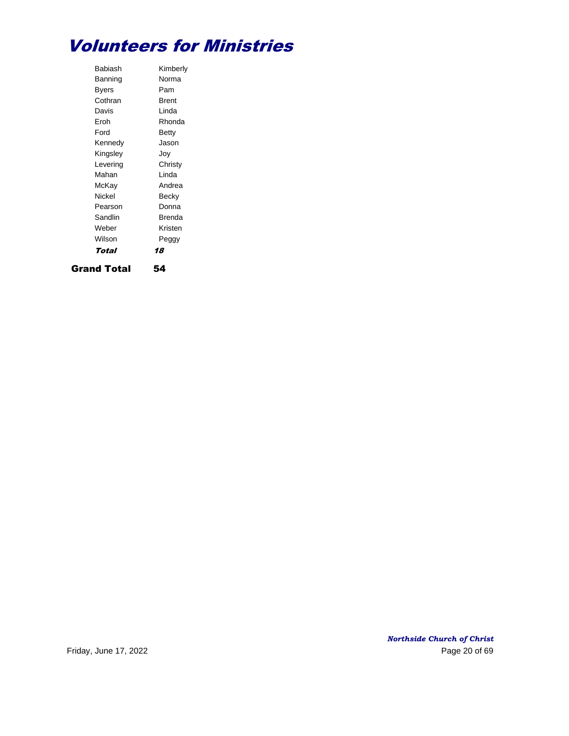| Babiash  | Kimberly     |
|----------|--------------|
| Banning  | Norma        |
| Byers    | Pam          |
| Cothran  | <b>Brent</b> |
| Davis    | I inda       |
| Froh     | Rhonda       |
| Ford     | Betty        |
| Kennedy  | Jason        |
| Kingsley | Jov          |
| Levering | Christy      |
| Mahan    | I inda       |
| McKay    | Andrea       |
| Nickel   | Becky        |
| Pearson  | Donna        |
| Sandlin  | Brenda       |
| Weber    | Kristen      |
| Wilson   | Peggy        |
| Total    | 18           |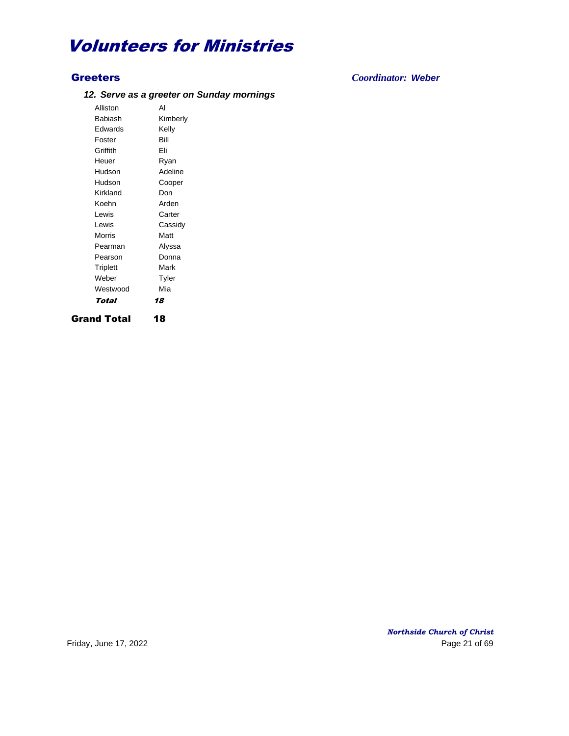## *12. Serve as a greeter on Sunday mornings*

Alliston Al Babiash Kimberly Edwards Kelly Foster Bill Griffith Eli Heuer Ryan Hudson Adeline Hudson Cooper Kirkland Don Koehn Arden Lewis Carter Lewis Cassidy Morris Matt Pearman Alyssa Pearson Donna Triplett Mark Weber Tyler Westwood Mia Total 18 Grand Total 18

Greeters *Coordinator: Weber*

*Northside Church of Christ* Friday, June 17, 2022 **Page 21 of 69**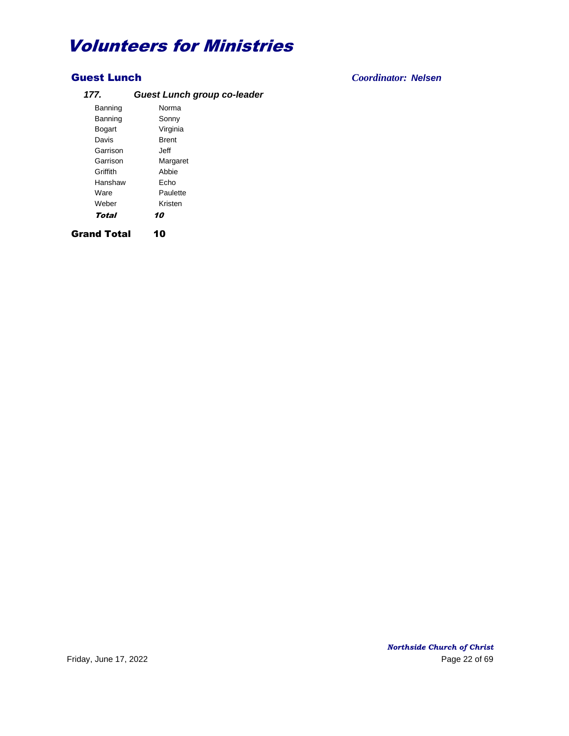## *177. Guest Lunch group co-leader* Banning Norma

| Banning       | Sonny        |
|---------------|--------------|
| <b>Bogart</b> | Virginia     |
| Davis         | <b>Brent</b> |
| Garrison      | Jeff         |
| Garrison      | Margaret     |
| Griffith      | Abbie        |
| Hanshaw       | Echo         |
| Ware          | Paulette     |
| Weber         | Kristen      |
| Total         | 10           |
|               |              |

Grand Total 10

## Guest Lunch *Coordinator: Nelsen*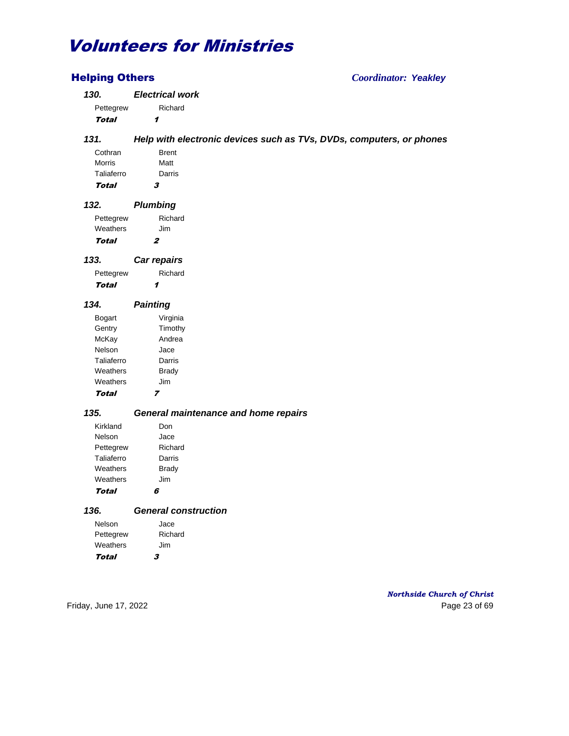| <b>Helping Others</b> | <b>Coordinator: Yeakley</b>                                          |  |
|-----------------------|----------------------------------------------------------------------|--|
| 130.                  | <b>Electrical work</b>                                               |  |
| Pettegrew             | Richard                                                              |  |
| <b>Total</b>          | 1                                                                    |  |
| 131.                  | Help with electronic devices such as TVs, DVDs, computers, or phones |  |
| Cothran               | <b>Brent</b>                                                         |  |
| Morris                | Matt                                                                 |  |
| Taliaferro            | Darris                                                               |  |
| <b>Total</b>          | 3                                                                    |  |
| 132.                  | <b>Plumbing</b>                                                      |  |
|                       |                                                                      |  |
| Pettegrew             | Richard                                                              |  |
| Weathers              | Jim                                                                  |  |
| Total                 | 2                                                                    |  |
| 133.                  | Car repairs                                                          |  |
| Pettegrew             | Richard                                                              |  |
| <b>Total</b>          | 1                                                                    |  |
| 134.                  | <b>Painting</b>                                                      |  |
| <b>Bogart</b>         | Virginia                                                             |  |
| Gentry                | Timothy                                                              |  |
| McKay                 | Andrea                                                               |  |
| Nelson                | Jace                                                                 |  |
| Taliaferro            | Darris                                                               |  |
| Weathers              | <b>Brady</b>                                                         |  |
| Weathers              | Jim                                                                  |  |
| <b>Total</b>          | $\overline{z}$                                                       |  |
| 135.                  | General maintenance and home repairs                                 |  |
|                       |                                                                      |  |
| Kirkland              | Don                                                                  |  |
| Nelson                | Jace                                                                 |  |
| Pettegrew             | Richard                                                              |  |
| Taliaferro            | Darris                                                               |  |
| Weathers              | <b>Brady</b>                                                         |  |
| Weathers              | Jim                                                                  |  |
| <b>Total</b>          | 6                                                                    |  |
| 136.                  | <b>General construction</b>                                          |  |
| Nelson                | Jace                                                                 |  |
| Pettegrew             | Richard                                                              |  |
| Weathers              | Jim                                                                  |  |
| <b>Total</b>          | 3                                                                    |  |

*Northside Church of Christ* Friday, June 17, 2022 2001 2012 12:30 Page 23 of 69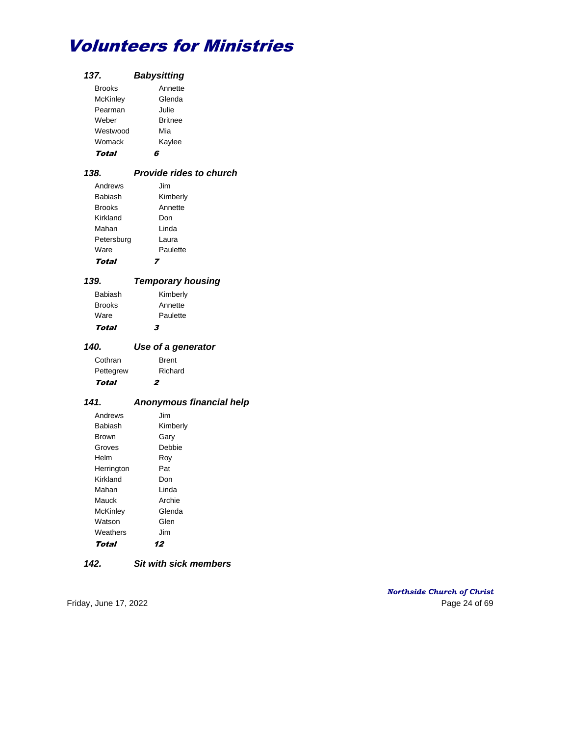| 137.            | <b>Babysitting</b> |
|-----------------|--------------------|
| <b>Brooks</b>   | Annette            |
| <b>McKinley</b> | Glenda             |
| Pearman         | Julie              |
| Weber           | <b>Britnee</b>     |
| Westwood        | Mia                |
| Womack          | Kaylee             |
| Total           |                    |

### *138. Provide rides to church* Andrews Jim Babiash Kimberly Brooks Annette Kirkland Don Mahan Linda Petersburg Laura Ware **Paulette**

## Total 7

#### *139. Temporary housing* Babiash Kimberly

| Total         | 3        |
|---------------|----------|
| Ware          | Paulette |
| <b>Brooks</b> | Annette  |
| Babiash       | Kimberly |

## *140. Use of a generator*

| Total     | 2            |
|-----------|--------------|
| Pettegrew | Richard      |
| Cothran   | <b>Brent</b> |
|           |              |

## *141. Anonymous financial help*

| Andrews      | Jim      |
|--------------|----------|
| Babiash      | Kimberly |
| <b>Brown</b> | Garv     |
| Groves       | Debbie   |
| Helm         | Rov      |
| Herrington   | Pat      |
| Kirkland     | Don      |
| Mahan        | I inda   |
| Mauck        | Archie   |
| McKinley     | Glenda   |
| Watson       | Glen     |
| Weathers     | Jim      |
| Total        | 12       |

## *142. Sit with sick members*

*Northside Church of Christ* Friday, June 17, 2022 **Page 24 of 69**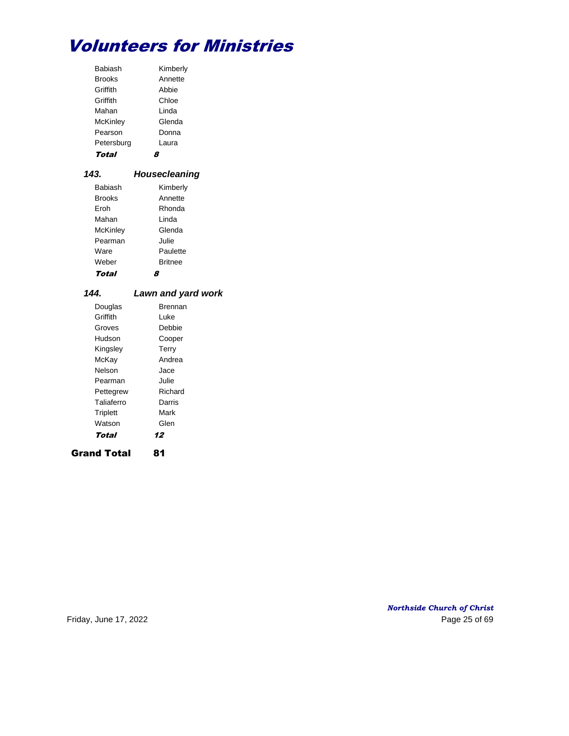| <b>Babiash</b>  | Kimberly |
|-----------------|----------|
| <b>Brooks</b>   | Annette  |
| Griffith        | Abbie    |
| Griffith        | Chloe    |
| Mahan           | I inda   |
| <b>McKinley</b> | Glenda   |
| Pearson         | Donna    |
| Petersburg      | Laura    |
| Total           |          |

## *143. Housecleaning*

| Babiash       | Kimberly       |
|---------------|----------------|
| <b>Brooks</b> | Annette        |
| Froh          | Rhonda         |
| Mahan         | I inda         |
| McKinley      | Glenda         |
| Pearman       | Julie.         |
| Ware          | Paulette       |
| Weber         | <b>Britnee</b> |
| Total         |                |

## *144. Lawn and yard work*

| Douglas    | Brennan |
|------------|---------|
| Griffith   | l uke   |
| Groves     | Debbie  |
| Hudson     | Cooper  |
| Kingsley   | Terry   |
| McKay      | Andrea  |
| Nelson     | Jace    |
| Pearman    | Julie   |
| Pettegrew  | Richard |
| Taliaferro | Darris  |
| Triplett   | Mark    |
| Watson     | Glen    |
| Total      | 12      |
|            |         |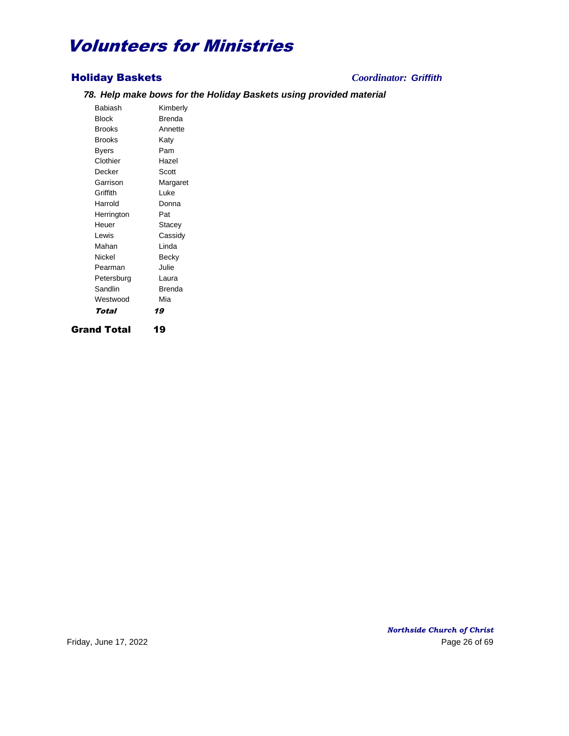## Holiday Baskets *Coordinator: Griffith*

## *78. Help make bows for the Holiday Baskets using provided material*

Babiash Kimberly Block Brenda Brooks Annette Brooks Katy Byers Pam Clothier Hazel Decker Scott Garrison Margaret Griffith Luke Harrold Donna Herrington Pat Heuer Stacey Lewis Cassidy Mahan Linda Nickel Becky Pearman Julie Petersburg Laura Sandlin Brenda Westwood Mia Total 19 Grand Total 19

*Northside Church of Christ* Friday, June 17, 2022 **Page 26 of 69**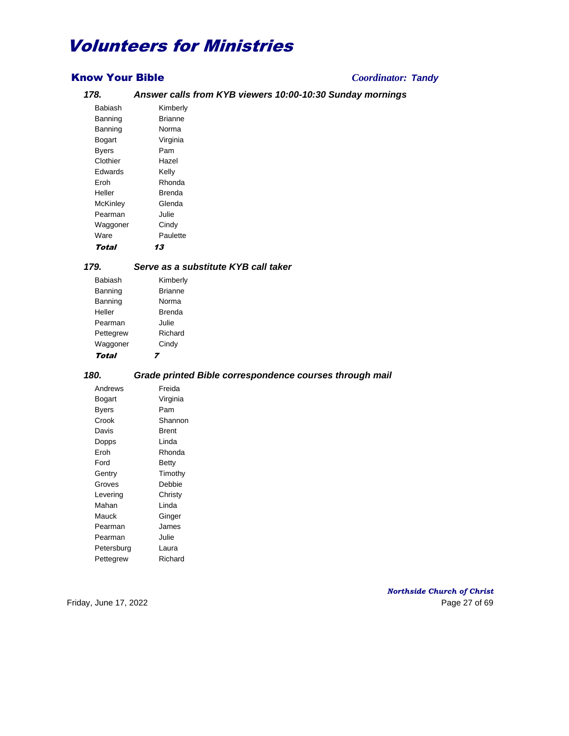## Know Your Bible *Coordinator: Tandy*

## *178. Answer calls from KYB viewers 10:00-10:30 Sunday mornings*

| Babiash  | Kimberly |
|----------|----------|
| Banning  | Brianne  |
| Banning  | Norma    |
| Bogart   | Virginia |
| Byers    | Pam      |
| Clothier | Hazel    |
| Fdwards  | Kelly    |
| Froh     | Rhonda   |
| Heller   | Brenda   |
| McKinley | Glenda   |
| Pearman  | Julie    |
| Waggoner | Cindy    |
| Ware     | Paulette |
| Total    | 13       |

# *179. Serve as a substitute KYB call taker*

| Babiash   | Kimberly       |
|-----------|----------------|
| Banning   | <b>Brianne</b> |
|           |                |
| Banning   | Norma          |
| Heller    | Brenda         |
| Pearman   | Julie.         |
| Pettegrew | Richard        |
| Waggoner  | Cindy          |
| Total     |                |

## *180. Grade printed Bible correspondence courses through mail*

| Andrews    | Freida   |
|------------|----------|
| Bogart     | Virginia |
| Byers      | Pam      |
| Crook      | Shannon  |
| Davis      | Brent    |
| Dopps      | Linda    |
| Eroh       | Rhonda   |
| Ford       | Betty    |
| Gentry     | Timothy  |
| Groves     | Debbie   |
| Levering   | Christy  |
| Mahan      | Linda    |
| Mauck      | Ginger   |
| Pearman    | James    |
| Pearman    | Julie    |
| Petersburg | Laura    |
| Pettegrew  | Richard  |

*Northside Church of Christ* Friday, June 17, 2022 Page 27 of 69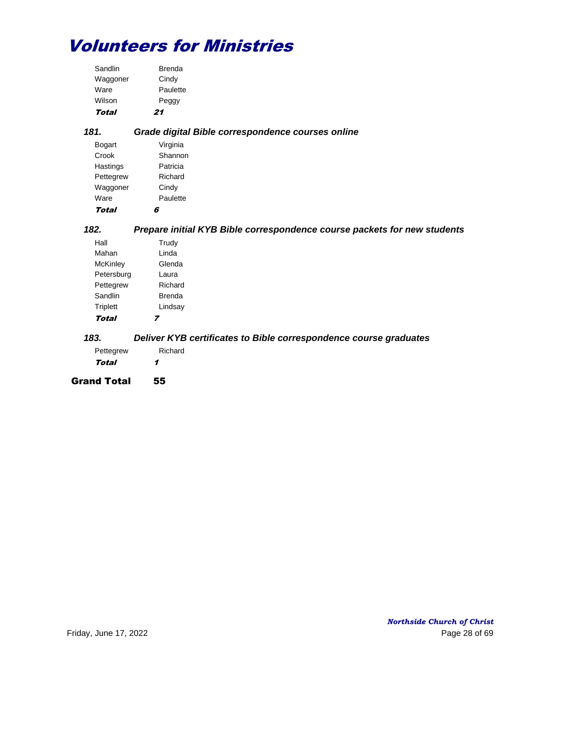| Total    | 21            |
|----------|---------------|
| Wilson   | Peggy         |
| Ware     | Paulette      |
| Waggoner | Cindy         |
| Sandlin  | <b>Brenda</b> |

| 181.          | Grade digital Bible correspondence courses online |
|---------------|---------------------------------------------------|
| <b>Bogart</b> | Virginia                                          |
| Crook         | Shannon                                           |
| Hastings      | Patricia                                          |
| Pettegrew     | Richard                                           |
| Waggoner      | Cindy                                             |
| Ware          | Paulette                                          |
| Total         | 6                                                 |

## *182. Prepare initial KYB Bible correspondence course packets for new students*

| Hall            | Trudy   |
|-----------------|---------|
| Mahan           | Linda   |
| <b>McKinley</b> | Glenda  |
| Petersburg      | Laura   |
| Pettegrew       | Richard |
| Sandlin         | Brenda  |
| Triplett        | Lindsay |
| Total           |         |

## *183. Deliver KYB certificates to Bible correspondence course graduates*

| Pettegrew | Richard |
|-----------|---------|
| Total     | 1       |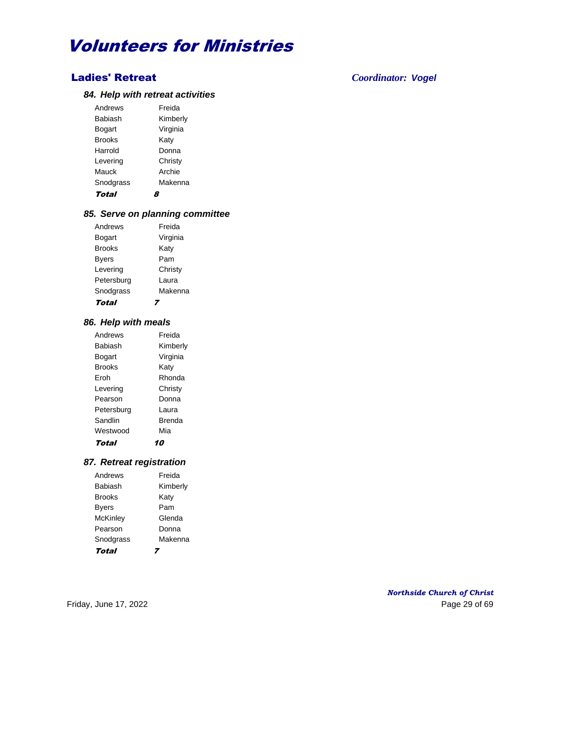## Ladies' Retreat *Coordinator: Vogel*

## *84. Help with retreat activities*

| Andrews       | Freida   |
|---------------|----------|
| Babiash       | Kimberly |
| Bogart        | Virginia |
| <b>Brooks</b> | Katy     |
| Harrold       | Donna    |
| Levering      | Christy  |
| Mauck         | Archie   |
| Snodgrass     | Makenna  |
| Total         |          |

## *85. Serve on planning committee*

| Total         |          |
|---------------|----------|
| Snodgrass     | Makenna  |
| Petersburg    | Laura    |
| Levering      | Christy  |
| <b>Byers</b>  | Pam      |
| <b>Brooks</b> | Katy     |
| Bogart        | Virginia |
| Andrews       | Freida   |
|               |          |

### *86. Help with meals*

| Andrews       | Freida   |
|---------------|----------|
| Babiash       | Kimberly |
| Bogart        | Virginia |
| <b>Brooks</b> | Katy     |
| Froh          | Rhonda   |
| Levering      | Christy  |
| Pearson       | Donna    |
| Petersburg    | l aura   |
| Sandlin       | Brenda   |
| Westwood      | Mia      |
| Total         |          |

## *87. Retreat registration*

| Andrews         | Freida   |
|-----------------|----------|
| Babiash         | Kimberly |
| <b>Brooks</b>   | Katy     |
| <b>Byers</b>    | Pam      |
| <b>McKinley</b> | Glenda   |
| Pearson         | Donna    |
| Snodgrass       | Makenna  |
| Total           |          |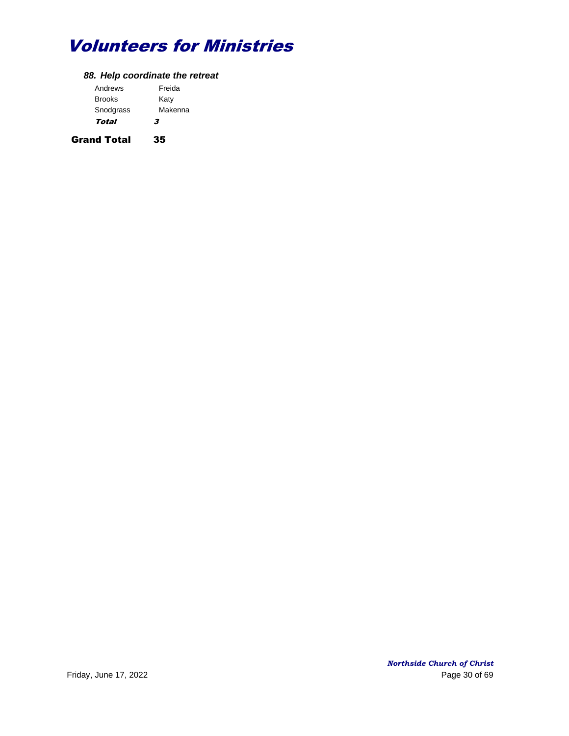## *88. Help coordinate the retreat*

| Andrews       | Freida  |
|---------------|---------|
| <b>Brooks</b> | Katy    |
| Snodgrass     | Makenna |
| Total         | 3       |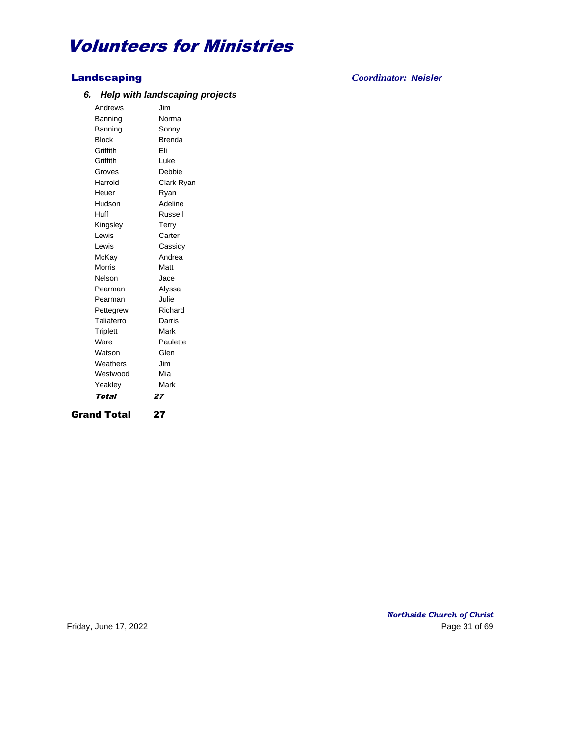## *6. Help with landscaping projects*

Andrews Jim Banning Norma Banning Sonny Block Brenda Griffith Eli Griffith Luke Groves Debbie Harrold Clark Ryan Heuer Ryan Hudson Adeline Huff Russell Kingsley Terry Lewis Carter Lewis Cassidy McKay Andrea Morris **Matt** Nelson Jace Pearman Alyssa Pearman Julie Pettegrew Richard Taliaferro Darris Triplett Mark Ware **Paulette** Watson **Glen** Weathers **Jim** Westwood Mia Yeakley **Mark** Total 27

Grand Total 27

Landscaping *Coordinator: Neisler*

*Northside Church of Christ* Friday, June 17, 2022 **Page 31 of 69**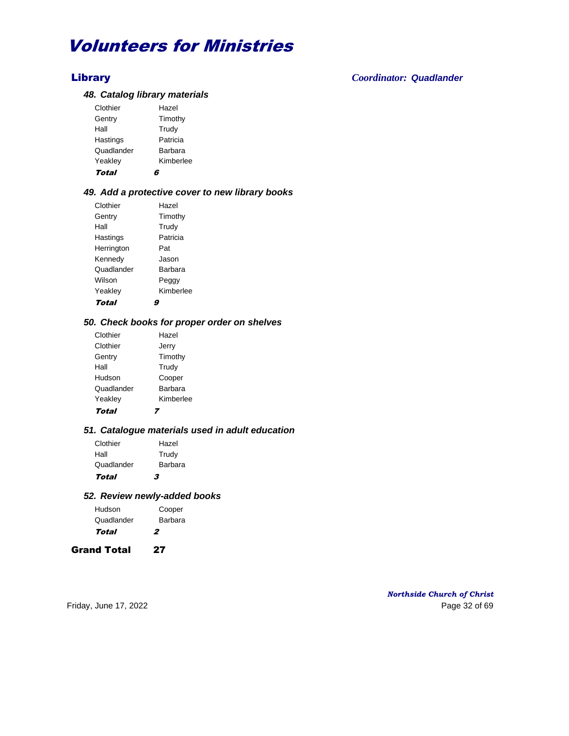## Library *Coordinator: Quadlander*

### *48. Catalog library materials*

| Yeakley<br>Total |           |
|------------------|-----------|
|                  | Kimberlee |
| Quadlander       | Barbara   |
| Hastings         | Patricia  |
| Hall             | Trudy     |
| Gentry           | Timothy   |
| Clothier         | Hazel     |
|                  |           |

## *49. Add a protective cover to new library books*

| Clothier   | Hazel     |
|------------|-----------|
| Gentry     | Timothy   |
| Hall       | Trudy     |
| Hastings   | Patricia  |
| Herrington | Pat       |
| Kennedy    | Jason     |
| Quadlander | Barbara   |
| Wilson     | Peggy     |
| Yeakley    | Kimberlee |
| Total      |           |

## *50. Check books for proper order on shelves*

| Clothier   | Hazel          |
|------------|----------------|
| Clothier   | Jerry          |
| Gentry     | Timothy        |
| Hall       | Trudy          |
| Hudson     | Cooper         |
| Quadlander | <b>Barbara</b> |
| Yeakley    | Kimberlee      |
| Total      |                |

#### *51. Catalogue materials used in adult education*

| Clothier   | Hazel   |
|------------|---------|
| Hall       | Trudy   |
| Quadlander | Barbara |
| Total      | 3       |

### *52. Review newly-added books*

| Hudson     | Cooper  |
|------------|---------|
| Quadlander | Barbara |
| Total      | 2       |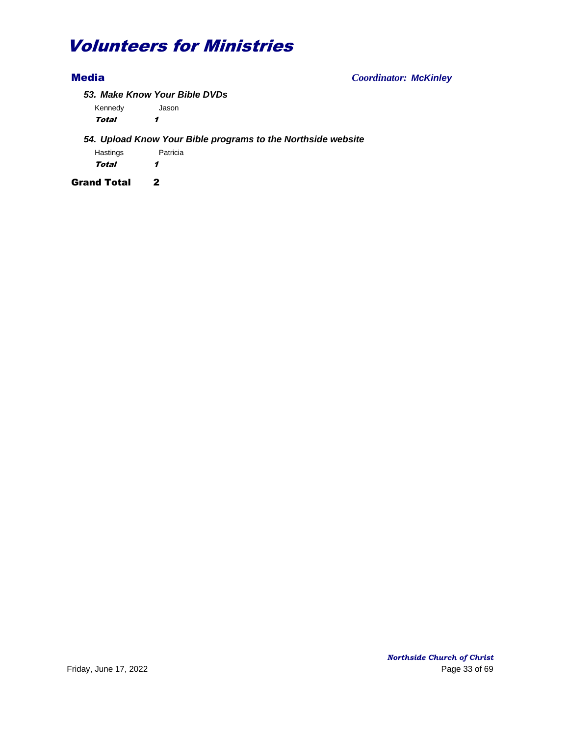Media *Coordinator: McKinley*

*53. Make Know Your Bible DVDs*

Kennedy Jason

Total 1

## *54. Upload Know Your Bible programs to the Northside website*

Hastings **Patricia** Total 1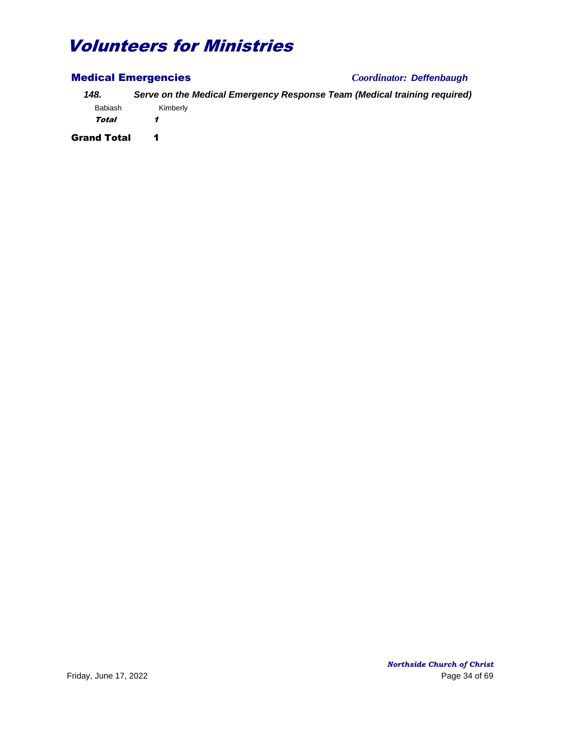| <b>Medical Emergencies</b> |          | Coordinator: Deffenbaugh                                                 |
|----------------------------|----------|--------------------------------------------------------------------------|
| 148.                       |          | Serve on the Medical Emergency Response Team (Medical training required) |
| <b>Babiash</b>             | Kimberly |                                                                          |
| Total                      |          |                                                                          |
| <b>Grand Total</b>         | 1        |                                                                          |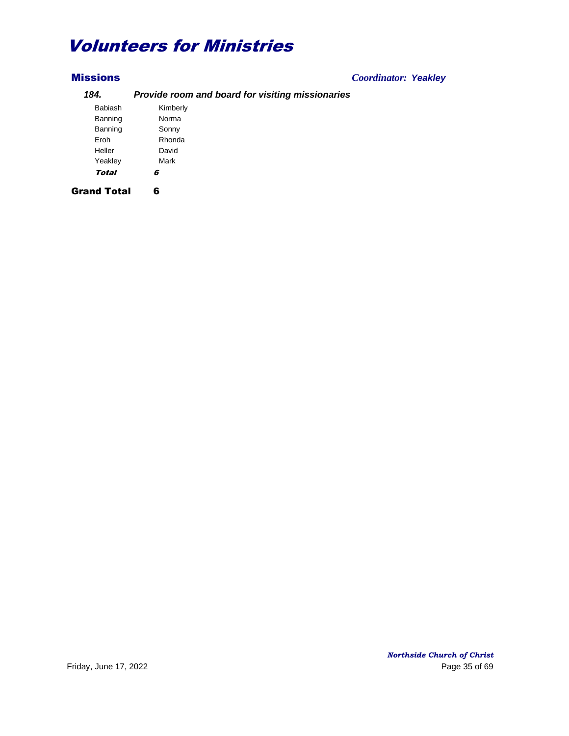## Missions *Coordinator: Yeakley*

## *184. Provide room and board for visiting missionaries* Babiash Kimberly

| вашаэн       | <b>INILIDEITY</b> |  |
|--------------|-------------------|--|
| Banning      | Norma             |  |
| Banning      | Sonny             |  |
| Eroh         | Rhonda            |  |
| Heller       | David             |  |
| Yeakley      | Mark              |  |
| <b>Total</b> | ĥ                 |  |
|              |                   |  |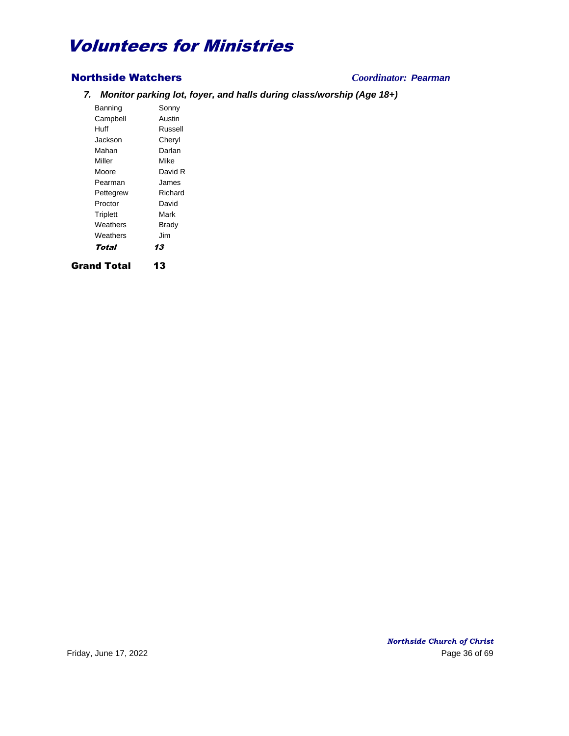## Northside Watchers *Coordinator: Pearman*

*7. Monitor parking lot, foyer, and halls during class/worship (Age 18+)*

Banning Sonny Campbell Austin Huff Russell Jackson Cheryl Mahan Darlan Miller Mike Moore David R Pearman James Pettegrew Richard Proctor David Triplett Mark Weathers **Brady** Weathers **Jim** Total 13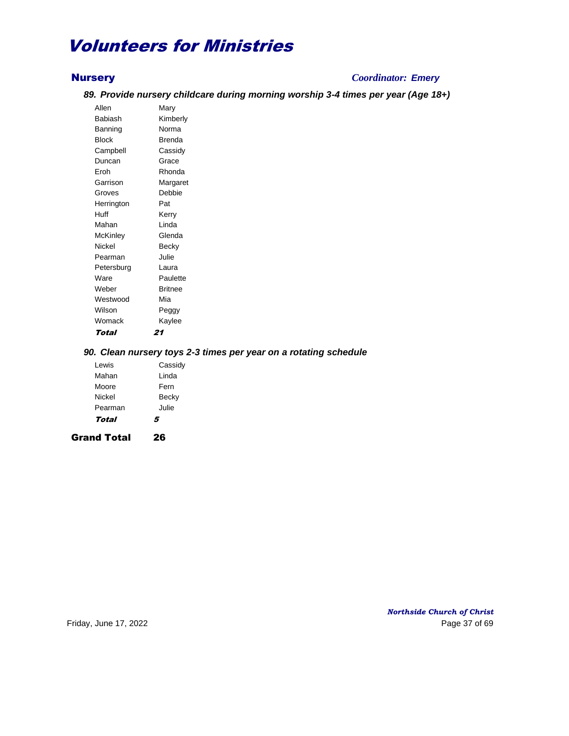## Nursery *Coordinator: Emery*

## *89. Provide nursery childcare during morning worship 3-4 times per year (Age 18+)*

Allen Mary Babiash Kimberly Banning Norma Block Brenda Campbell Cassidy Duncan Grace Eroh Rhonda Garrison Margaret Groves Debbie Herrington Pat Huff Kerry Mahan Linda McKinley Glenda Nickel Becky Pearman Julie Petersburg Laura Ware **Paulette** Weber Britnee Westwood Mia Wilson **Peggy** Womack Kaylee Total 21

## *90. Clean nursery toys 2-3 times per year on a rotating schedule*

| <b>Grand Total</b> | 26      |
|--------------------|---------|
| Total              | 5       |
| Pearman            | Julie   |
| Nickel             | Becky   |
| Moore              | Fern    |
| Mahan              | Linda   |
| Lewis              | Cassidy |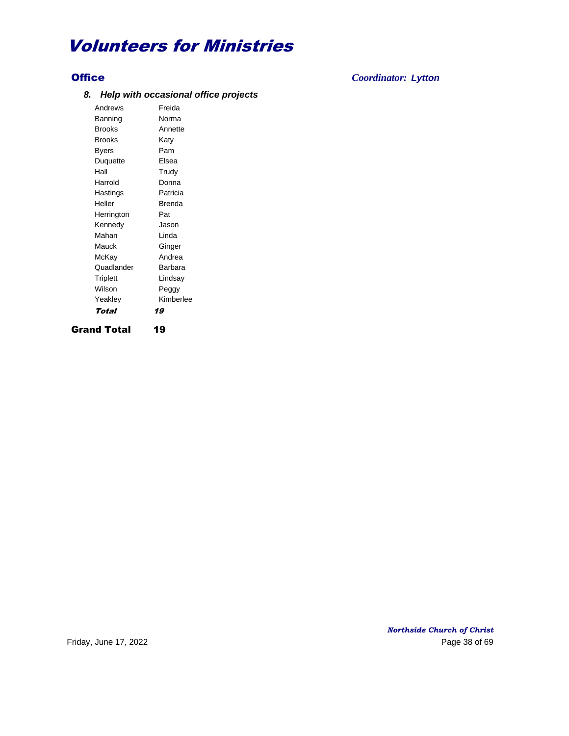## *8. Help with occasional office projects*

Andrews Freida Banning Norma Brooks Annette Brooks Katy Byers Pam Duquette Elsea Hall Trudy Harrold Donna Hastings **Patricia** Heller Brenda Herrington Pat Kennedy Jason Mahan Linda Mauck **Ginger** McKay Andrea Quadlander Barbara Triplett Lindsay Wilson **Peggy** Yeakley Kimberlee Total 19 Grand Total 19

*Northside Church of Christ* Friday, June 17, 2022 **Page 38 of 69** 

Office *Coordinator: Lytton*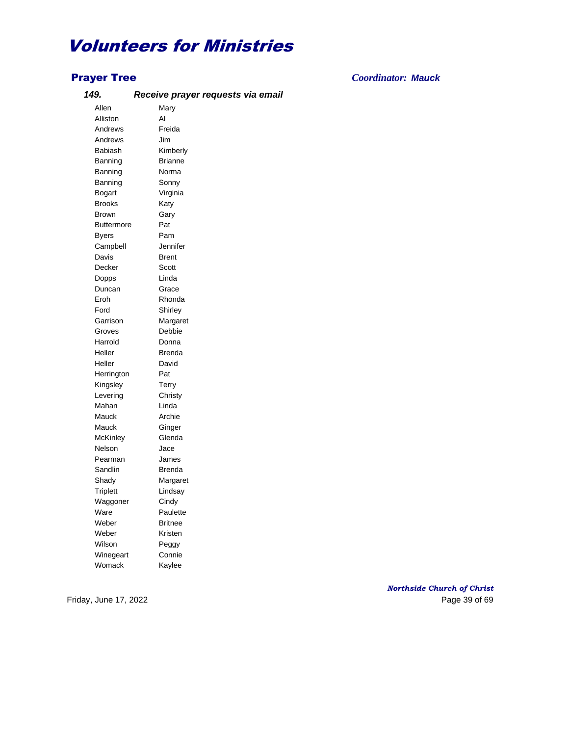## *149. Receive prayer requests via email*

Allen Mary Alliston Al Andrews Freida Andrews Jim Babiash Kimberly Banning Brianne Banning Norma Banning Sonny Bogart Virginia Brooks Katy Brown Gary Buttermore Pat Byers Pam Campbell Jennifer Davis Brent Decker Scott Dopps Linda Duncan Grace Eroh Rhonda Ford Shirley Garrison Margaret Groves Debbie Harrold Donna Heller Brenda Heller David Herrington Pat Kingsley Terry Levering Christy Mahan Linda Mauck Archie Mauck Ginger McKinley Glenda Nelson Jace Pearman James Sandlin Brenda Shady Margaret Triplett Lindsay Waggoner Cindy Ware **Paulette** Weber Britnee Weber Kristen Wilson **Peggy** Winegeart Connie Womack Kaylee

Prayer Tree *Coordinator: Mauck*

*Northside Church of Christ* Friday, June 17, 2022 **Page 39 of 69**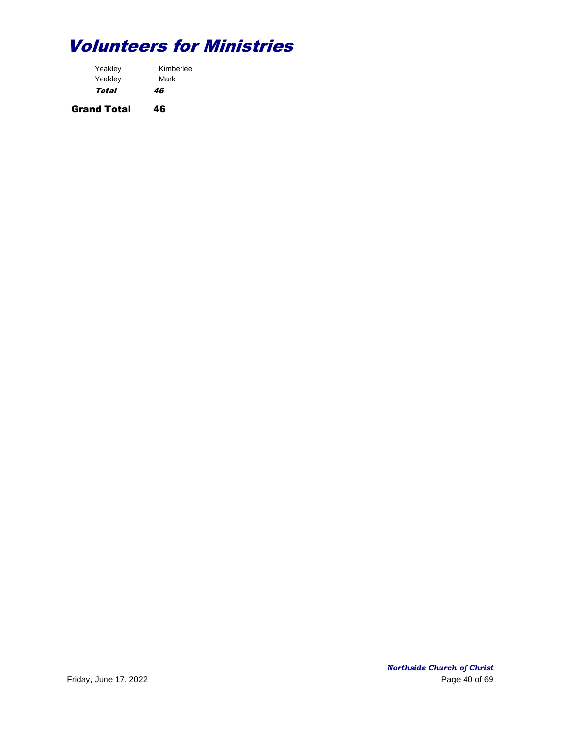| Kimberlee |  |
|-----------|--|
| Mark      |  |
| 46        |  |
|           |  |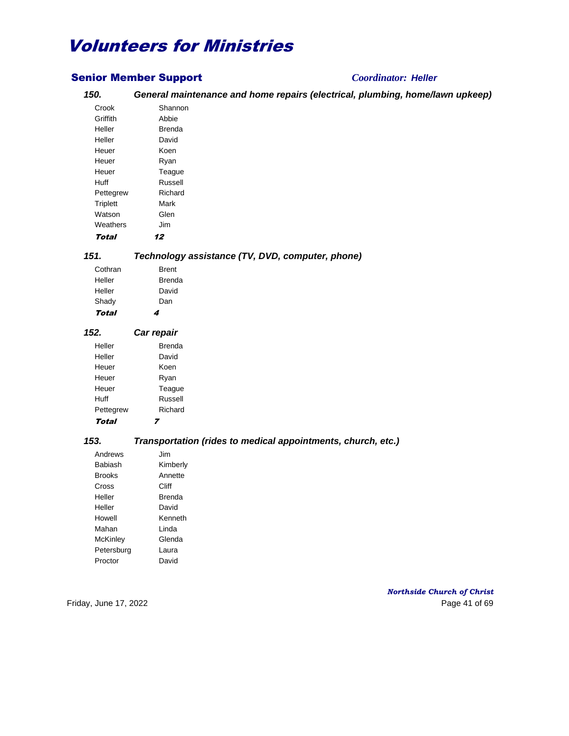## Senior Member Support *Coordinator: Heller*

## *150. General maintenance and home repairs (electrical, plumbing, home/lawn upkeep)*

| Crook           | Shannon |
|-----------------|---------|
| Griffith        | Abbie   |
| Heller          | Brenda  |
| Heller          | David   |
| Heuer           | Koen    |
| Heuer           | Ryan    |
| Heuer           | Teaque  |
| Huff            | Russell |
| Pettegrew       | Richard |
| <b>Triplett</b> | Mark    |
| Watson          | Glen    |
| Weathers        | Jim     |
| Total           | 12      |

## *151. Technology assistance (TV, DVD, computer, phone)*

| Total   | 4      |
|---------|--------|
| Shady   | Dan    |
| Heller  | David  |
| Heller  | Brenda |
| Cothran | Brent  |

### *152. Car repair* Heller **Brenda** Heller David Heuer Koen Heuer Ryan Heuer Teague Huff Russell Pettegrew Richard

Total 7

### *153. Transportation (rides to medical appointments, church, etc.)*

| Andrews       | .lim     |
|---------------|----------|
| Babiash       | Kimberly |
| <b>Brooks</b> | Annette  |
| Cross         | Cliff    |
| Heller        | Brenda   |
| Heller        | David    |
| Howell        | Kenneth  |
| Mahan         | I inda   |
| McKinley      | Glenda   |
| Petersburg    | l aura   |
| Proctor       | David    |

*Northside Church of Christ* Friday, June 17, 2022 **Page 41 of 69**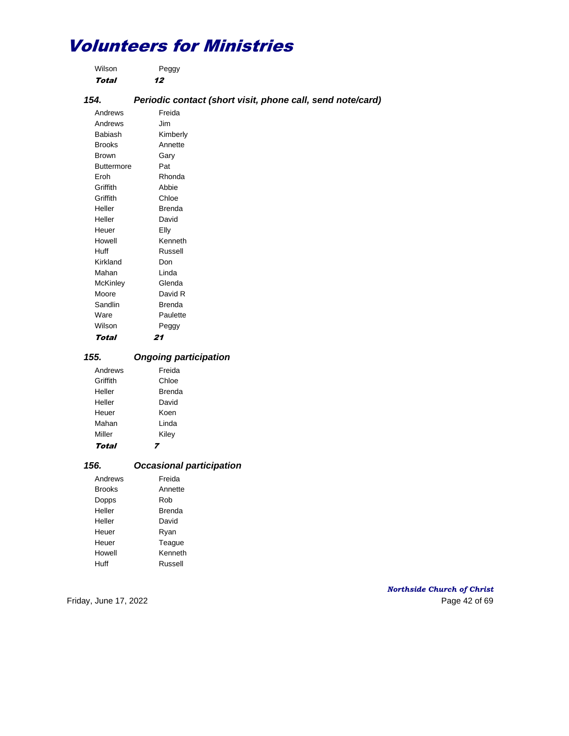| Wilson | Peggy |
|--------|-------|
| Total  | 12    |

## *154. Periodic contact (short visit, phone call, send note/card)*

Andrews Freida Andrews Jim Babiash Kimberly Brooks Annette Brown Gary Buttermore Pat Eroh Rhonda Griffith Abbie Griffith Chloe Heller Brenda Heller David Heuer Elly Howell Kenneth Huff Russell Kirkland Don Mahan Linda McKinley Glenda Moore David R Sandlin Brenda Ware **Paulette** Wilson Peggy Total 21

#### *155. Ongoing participation*

| Total    |        |
|----------|--------|
| Miller   | Kiley  |
| Mahan    | Linda  |
| Heuer    | Koen   |
| Heller   | David  |
| Heller   | Brenda |
| Griffith | Chloe  |
| Andrews  | Freida |
|          |        |

#### *156. Occasional participation*

| Andrews       | Freida  |
|---------------|---------|
| <b>Brooks</b> | Annette |
| Dopps         | Rob     |
| Heller        | Brenda  |
| Heller        | David   |
| Heuer         | Ryan    |
| Heuer         | Teague  |
| Howell        | Kenneth |
| Huff          | Russell |

### *Northside Church of Christ* Friday, June 17, 2022 **Page 42 of 69**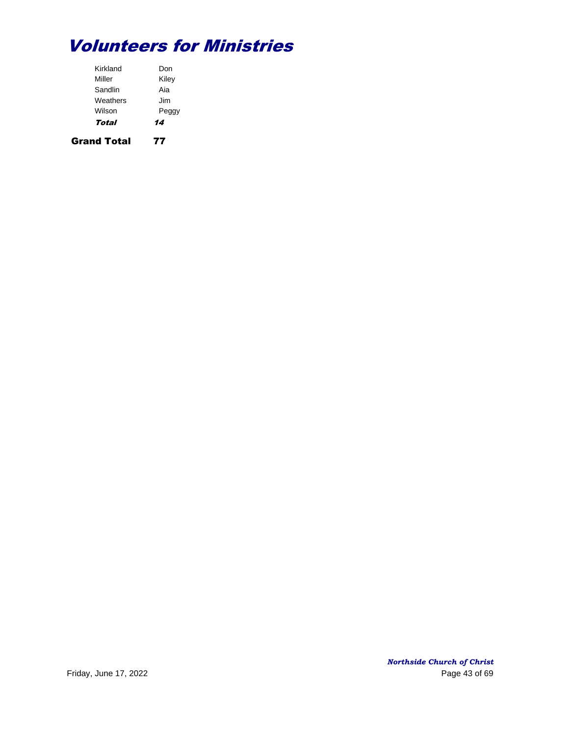| Total    | 14    |
|----------|-------|
| Wilson   | Peggy |
| Weathers | Jim   |
| Sandlin  | Aia   |
| Miller   | Kiley |
| Kirkland | Don   |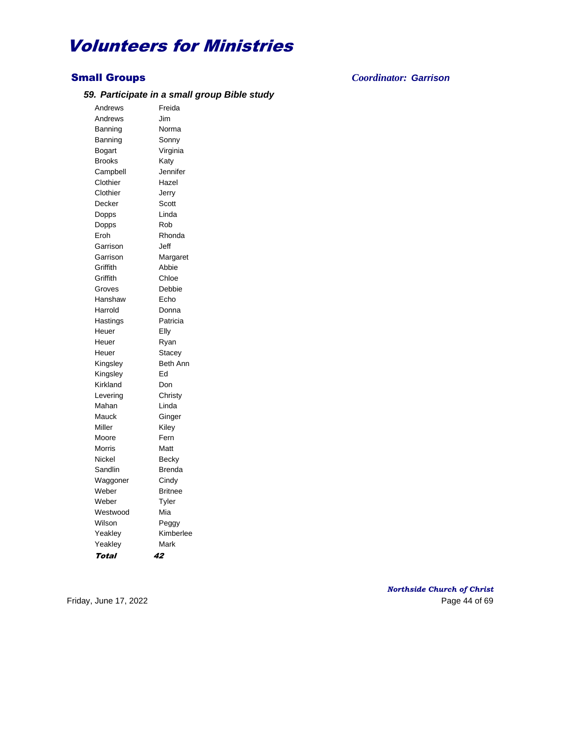#### *59. Participate in a small group Bible study*

Andrews Freida Andrews Jim Banning Norma Banning Sonny Bogart Virginia Brooks Katy Campbell Jennifer Clothier Hazel Clothier Jerry Decker Scott Dopps Linda Dopps Rob Eroh Rhonda Garrison Jeff Garrison Margaret Griffith Abbie Griffith Chloe Groves Debbie Hanshaw Echo Harrold Donna Hastings **Patricia** Heuer Elly Heuer Ryan Heuer Stacey Kingsley Beth Ann Kingsley Ed Kirkland Don Levering Christy Mahan Linda Mauck Ginger Miller Kiley Moore Fern Morris Matt Nickel Becky Sandlin Brenda Waggoner Cindy Weber Britnee Weber Tyler Westwood Mia Wilson **Peggy** Yeakley **Kimberlee** Yeakley **Mark** Total 42

Small Groups *Coordinator: Garrison*

*Northside Church of Christ* Friday, June 17, 2022 **Page 44 of 69**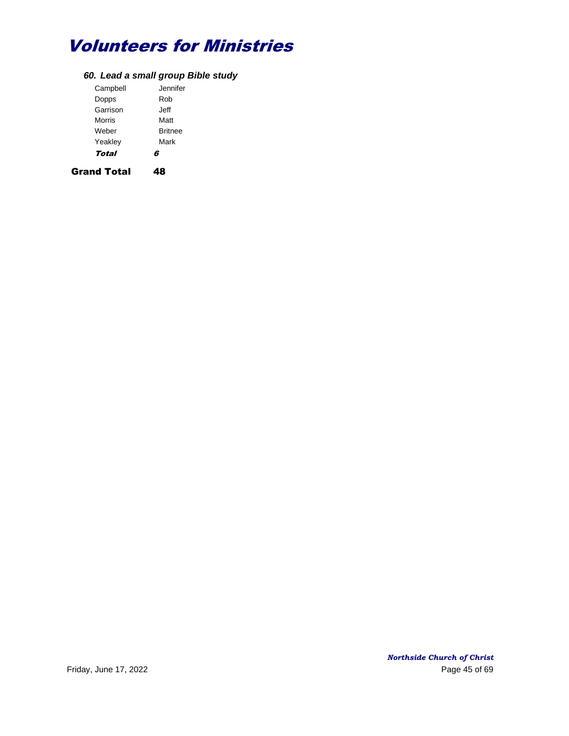## *60. Lead a small group Bible study*

| Campbell | Jennifer.      |
|----------|----------------|
| Dopps    | Rob            |
| Garrison | Jeff           |
| Morris   | Matt           |
| Weber    | <b>Britnee</b> |
| Yeakley  | Mark           |
| Total    | G              |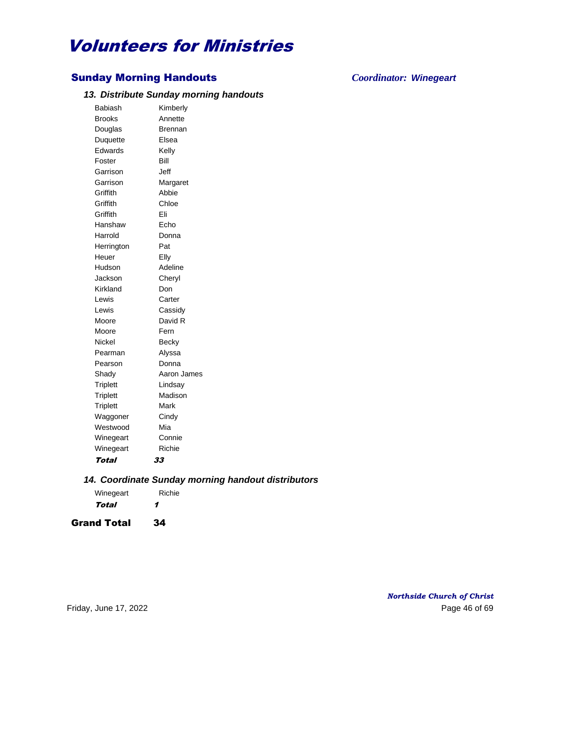## Sunday Morning Handouts *Coordinator: Winegeart*

#### *13. Distribute Sunday morning handouts*

Babiash Kimberly Brooks Annette Douglas **Brennan** Duquette Elsea Edwards Kelly Foster Bill Garrison Jeff Garrison Margaret Griffith Abbie Griffith Chloe Griffith Eli Hanshaw Echo Harrold Donna Herrington Pat Heuer Elly Hudson Adeline Jackson Cheryl Kirkland Don Lewis Carter Lewis Cassidy Moore David R Moore Fern Nickel Becky Pearman Alyssa Pearson Donna Shady Aaron James Triplett Lindsay Triplett Madison Triplett Mark Waggoner Cindy Westwood Mia Winegeart Connie Winegeart Richie Total 33

#### *14. Coordinate Sunday morning handout distributors*

| Winegeart | Richie |
|-----------|--------|
| Total     | 1      |

Grand Total 34

*Northside Church of Christ* Friday, June 17, 2022 **Page 46 of 69**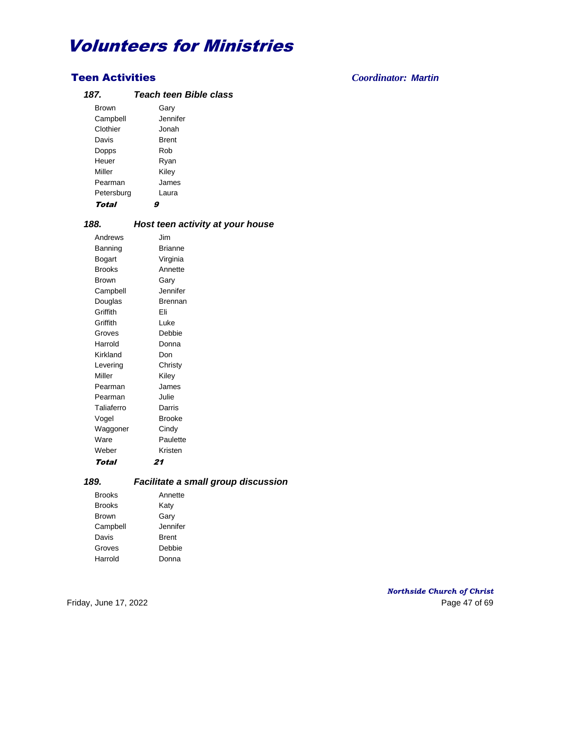## Teen Activities *Coordinator: Martin*

## *187. Teach teen Bible class*

| Garv         |
|--------------|
| Jennifer     |
| Jonah        |
| <b>Brent</b> |
| Rob          |
| Ryan         |
| Kiley        |
| James        |
| Laura        |
|              |
|              |

## *188. Host teen activity at your house*

| Andrews       | Jim            |
|---------------|----------------|
| Banning       | <b>Brianne</b> |
| Bogart        | Virginia       |
| <b>Brooks</b> | Annette        |
| Brown         | Gary           |
| Campbell      | Jennifer       |
| Douglas       | Brennan        |
| Griffith      | Fli            |
| Griffith      | l uke          |
| Groves        | Debbie         |
| Harrold       | Donna          |
| Kirkland      | Don            |
| Levering      | Christy        |
| Miller        | Kiley          |
| Pearman       | James          |
| Pearman       | Julie          |
| Taliaferro    | Darris         |
| Vogel         | Brooke         |
| Waggoner      | Cindy          |
| Ware          | Paulette       |
| Weber         | Kristen        |
| Total         | 21             |

## *189. Facilitate a small group discussion*

| <b>Brooks</b> | Annette      |
|---------------|--------------|
| <b>Brooks</b> | Katy         |
| <b>Brown</b>  | Gary         |
| Campbell      | Jennifer     |
| Davis         | <b>Brent</b> |
| Groves        | Debbie       |
| Harrold       | Donna        |
|               |              |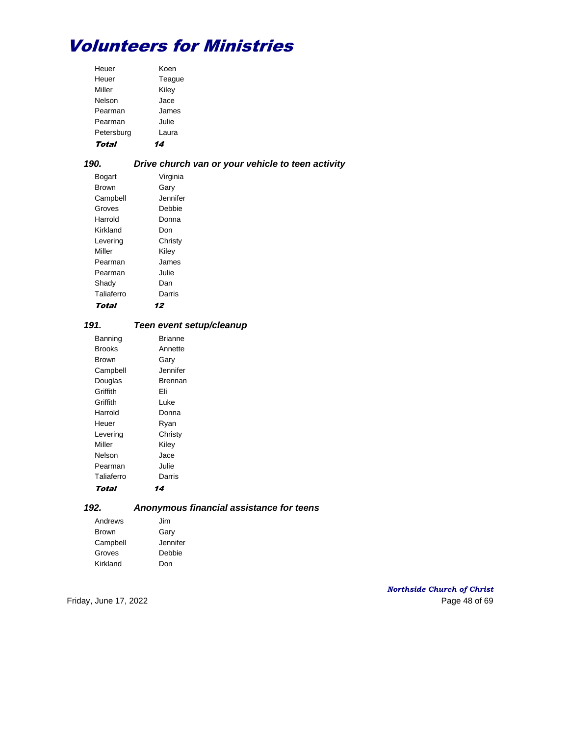| Total      |        |
|------------|--------|
| Petersburg | Laura  |
| Pearman    | Julie  |
| Pearman    | James  |
| Nelson     | Jace   |
| Miller     | Kiley  |
| Heuer      | Teaque |
| Heuer      | Koen   |

## *190. Drive church van or your vehicle to teen activity*

| Bogart     | Virginia |
|------------|----------|
| Brown      | Gary     |
| Campbell   | Jennifer |
| Groves     | Debbie   |
| Harrold    | Donna    |
| Kirkland   | Don      |
| Levering   | Christy  |
| Miller     | Kiley    |
| Pearman    | James    |
| Pearman    | Julie    |
| Shady      | Dan      |
| Taliaferro | Darris   |
| Total      |          |

## *191. Teen event setup/cleanup*

| Banning    | Brianne   |
|------------|-----------|
| Brooks     | Annette   |
| Brown      | Gary      |
| Campbell   | Jennifer. |
| Douglas    | Brennan   |
| Griffith   | Fli       |
| Griffith   | Luke      |
| Harrold    | Donna     |
| Heuer      | Ryan      |
| Levering   | Christy   |
| Miller     | Kiley     |
| Nelson     | Jace      |
| Pearman    | Julie     |
| Taliaferro | Darris    |
| Total      | 14        |

## *192. Anonymous financial assistance for teens*

| Andrews      | Jim      |
|--------------|----------|
| <b>Brown</b> | Gary     |
| Campbell     | Jennifer |
| Groves       | Debbie   |
| Kirkland     | Don      |

### *Northside Church of Christ* Friday, June 17, 2022 Page 48 of 69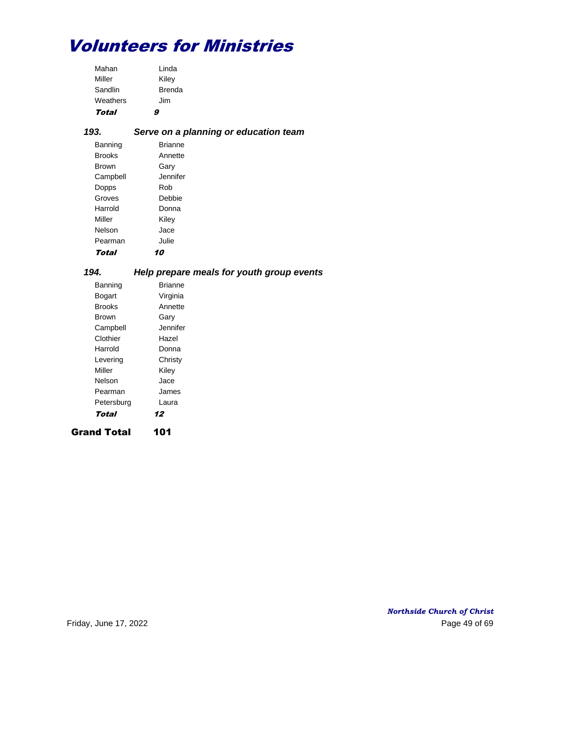| Total    | g             |
|----------|---------------|
| Weathers | Jim           |
| Sandlin  | <b>Brenda</b> |
| Miller   | Kiley         |
| Mahan    | Linda         |

## *193. Serve on a planning or education team*

| Banning       | <b>Brianne</b> |
|---------------|----------------|
| <b>Brooks</b> | Annette        |
| <b>Brown</b>  | Gary           |
| Campbell      | Jennifer.      |
| Dopps         | Rob            |
| Groves        | Debbie         |
| Harrold       | Donna          |
| Miller        | Kiley          |
| Nelson        | Jace           |
| Pearman       | Julie          |
| Total         |                |

## *194. Help prepare meals for youth group events*

| Grand Total |                |
|-------------|----------------|
| Total       | 12             |
| Petersburg  | Laura          |
| Pearman     | James          |
| Nelson      | Jace           |
| Miller      | Kiley          |
| Levering    | Christy        |
| Harrold     | Donna          |
| Clothier    | Hazel          |
| Campbell    | Jennifer       |
| Brown       | Garv           |
| Brooks      | Annette        |
| Bogart      | Virginia       |
| Banning     | <b>Brianne</b> |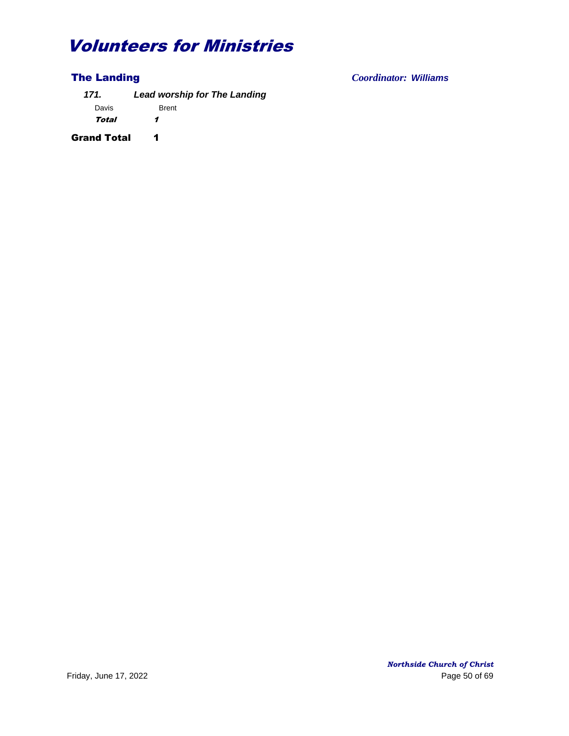*171. Lead worship for The Landing* Davis Brent Total 1

Grand Total 1

The Landing *Coordinator: Williams*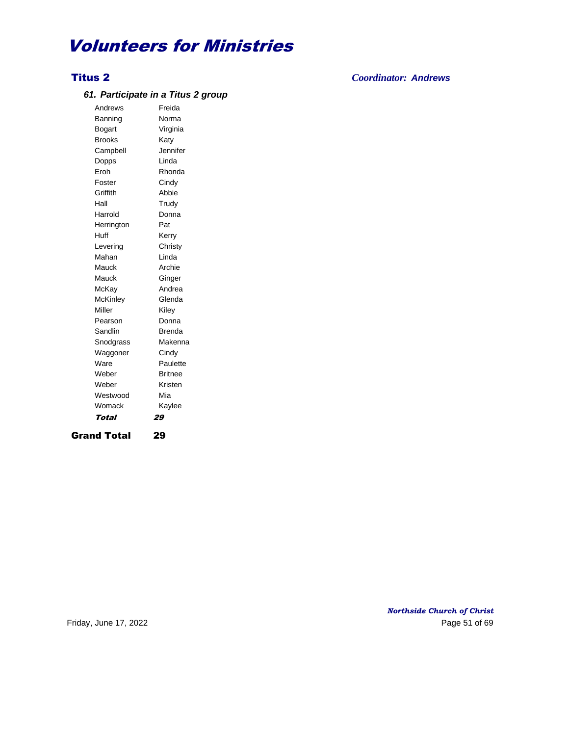## Titus 2 *Coordinator: Andrews*

### *61. Participate in a Titus 2 group*

Andrews Freida Banning Norma Bogart Virginia Brooks Katy Campbell Jennifer Dopps Linda Eroh Rhonda Foster Cindy Griffith Abbie Hall Trudy Harrold Donna Herrington Pat Huff Kerry Levering Christy Mahan Linda Mauck Archie Mauck **Ginger** McKay Andrea McKinley Glenda Miller Kiley Pearson Donna Sandlin Brenda Snodgrass Makenna Waggoner Cindy Ware **Paulette** Weber Britnee Weber Kristen Westwood Mia Womack Kaylee Total 29

Grand Total 29

*Northside Church of Christ* Friday, June 17, 2022 **Page 51 of 69**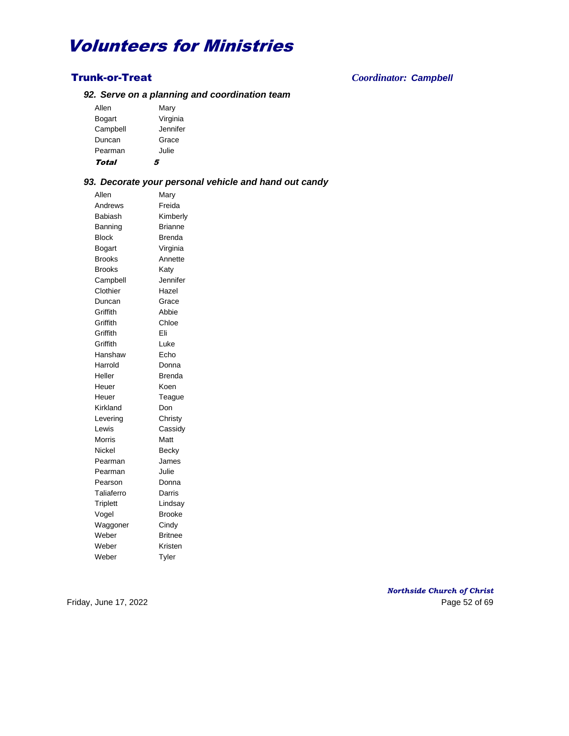#### *92. Serve on a planning and coordination team*

| Total    |          |
|----------|----------|
| Pearman  | Julie    |
| Duncan   | Grace    |
| Campbell | Jennifer |
| Bogart   | Virginia |
| Allen    | Mary     |

#### *93. Decorate your personal vehicle and hand out candy*

Allen Mary Andrews Freida Babiash Kimberly Banning **Brianne** Block Brenda Bogart Virginia Brooks Annette Brooks Katy Campbell Jennifer Clothier Hazel Duncan Grace Griffith Abbie Griffith Chloe Griffith Eli Griffith Luke Hanshaw Echo Harrold Donna Heller **Brenda** Heuer Koen Heuer Teague Kirkland Don Levering Christy Lewis Cassidy Morris **Matt** Nickel Becky Pearman James Pearman Julie Pearson Donna Taliaferro Darris Triplett Lindsay Vogel Brooke Waggoner Cindy Weber Britnee Weber Kristen Weber Tyler

Trunk-or-Treat *Coordinator: Campbell*

*Northside Church of Christ* Friday, June 17, 2022 **Page 52 of 69**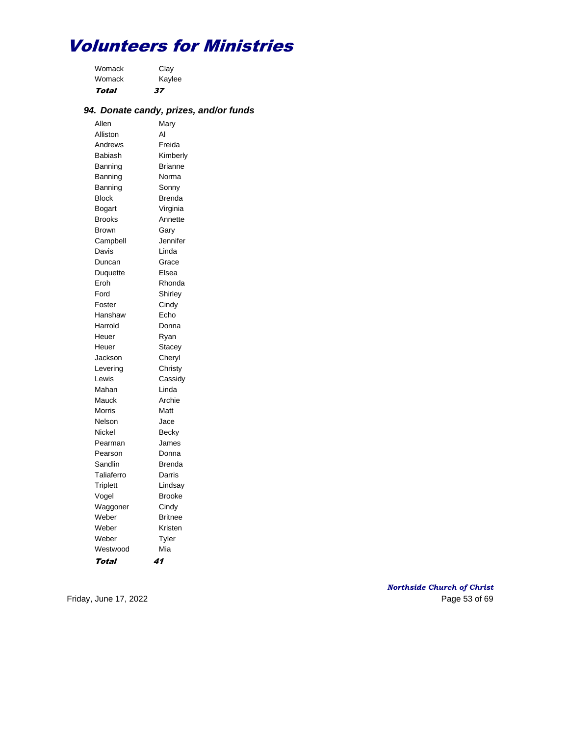| Total  | 37     |
|--------|--------|
| Womack | Kaylee |
| Womack | Clay   |

## *94. Donate candy, prizes, and/or funds*

| Allen            |                  |
|------------------|------------------|
| Alliston         | Mary<br>AI       |
| Andrews          | Freida           |
| Babiash          | Kimberly         |
| Banning          | Brianne          |
| Banning          | Norma            |
| Banning          | Sonny            |
| Block            | <b>Brenda</b>    |
|                  | Virginia         |
| Bogart<br>Brooks | Annette          |
|                  |                  |
| <b>Brown</b>     | Gary<br>Jennifer |
| Campbell         | Linda            |
| Davis            |                  |
| Duncan           | Grace            |
| Duquette         | Elsea            |
| Eroh             | Rhonda           |
| Ford             | Shirley          |
| Foster           | Cindy            |
| Hanshaw          | Echo             |
| Harrold          | Donna            |
| Heuer            | Ryan             |
| Heuer            | Stacey           |
| Jackson          | Cheryl           |
| Levering         | Christy          |
| Lewis            | Cassidy          |
| Mahan            | Linda            |
| Mauck            | Archie           |
| Morris           | Matt             |
| Nelson           | Jace             |
| Nickel           | Becky            |
| Pearman          | James            |
| Pearson          | Donna            |
| Sandlin          | <b>Brenda</b>    |
| Taliaferro       | Darris           |
| <b>Triplett</b>  | Lindsay          |
| Vogel            | <b>Brooke</b>    |
| Waggoner         | Cindy            |
| Weber            | <b>Britnee</b>   |
| Weber            | Kristen          |
| Weber            | Tyler            |
| Westwood         | Mia              |
| Total            | 41               |

*Northside Church of Christ* Friday, June 17, 2022 2008 and the extent of the extent of the Page 53 of 69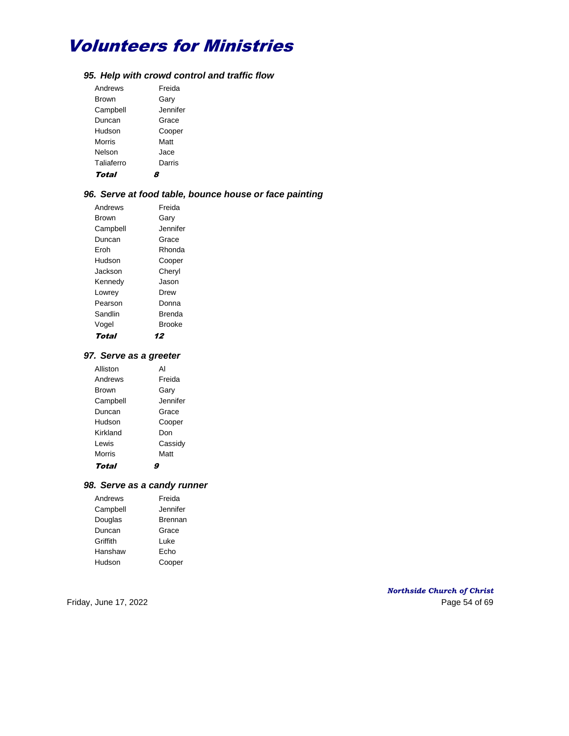### *95. Help with crowd control and traffic flow*

| Andrews    | Freida   |
|------------|----------|
| Brown      | Garv     |
| Campbell   | Jennifer |
| Duncan     | Grace    |
| Hudson     | Cooper   |
| Morris     | Matt     |
| Nelson     | Jace     |
| Taliaferro | Darris   |
| .          |          |

Total 8

## *96. Serve at food table, bounce house or face painting*

| Andrews  | Freida        |
|----------|---------------|
| Brown    | Garv          |
| Campbell | Jennifer      |
| Duncan   | Grace         |
| Froh     | Rhonda        |
| Hudson   | Cooper        |
| Jackson  | Cheryl        |
| Kennedy  | Jason         |
| Lowrey   | Drew          |
| Pearson  | Donna         |
| Sandlin  | Brenda        |
| Vogel    | <b>Brooke</b> |
| Total    | 12            |

### *97. Serve as a greeter*

| Alliston     | ΑI       |
|--------------|----------|
| Andrews      | Freida   |
| <b>Brown</b> | Garv     |
| Campbell     | Jennifer |
| Duncan       | Grace    |
| Hudson       | Cooper   |
| Kirkland     | Don      |
| Lewis        | Cassidy  |
| Morris       | Matt     |
| Total        |          |

## *98. Serve as a candy runner*

| Andrews  | Freida   |
|----------|----------|
| Campbell | Jennifer |
| Douglas  | Brennan  |
| Duncan   | Grace    |
| Griffith | Luke     |
| Hanshaw  | Echo     |
| Hudson   | Cooper   |

## *Northside Church of Christ* Friday, June 17, 2022 Page 54 of 69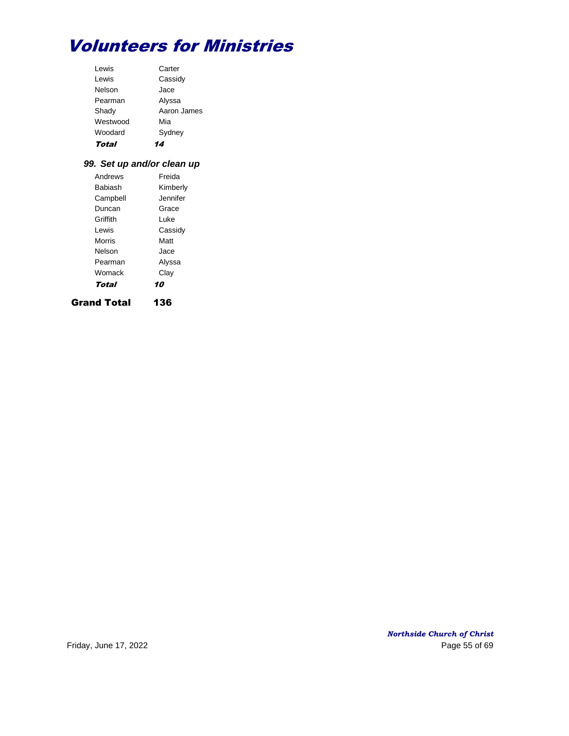| I ewis   | Carter      |
|----------|-------------|
| Lewis    | Cassidy     |
| Nelson   | Jace        |
| Pearman  | Alyssa      |
| Shady    | Aaron James |
| Westwood | Mia         |
| Woodard  | Sydney      |
| Total    |             |

## *99. Set up and/or clean up*

| Grand Total | 136       |
|-------------|-----------|
| Total       | 10        |
| Womack      | Clay      |
| Pearman     | Alyssa    |
| Nelson      | Jace      |
| Morris      | Matt      |
| I ewis      | Cassidy   |
| Griffith    | l uke     |
| Duncan      | Grace     |
| Campbell    | Jennifer. |
| Babiash     | Kimberly  |
| Andrews     | Freida    |

*Northside Church of Christ* Friday, June 17, 2022 2008 and the state of the Page 55 of 69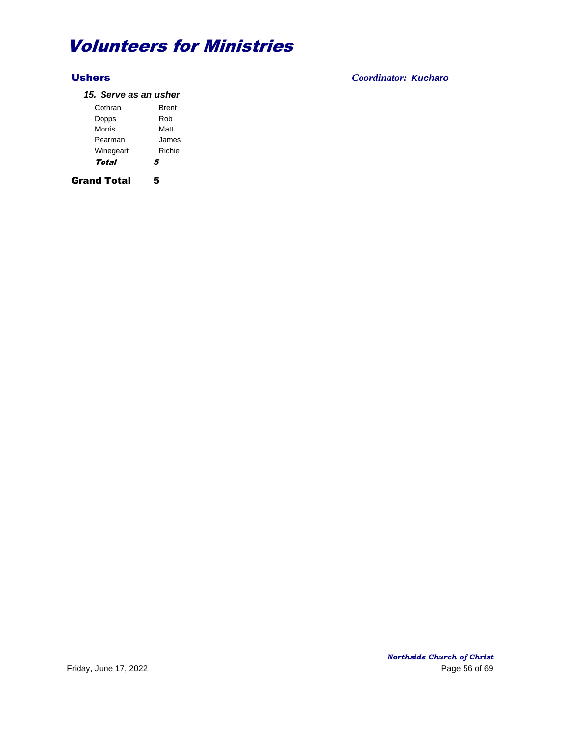## Ushers *Coordinator: Kucharo*

### *15. Serve as an usher*

| Cothran   | <b>Brent</b> |
|-----------|--------------|
| Dopps     | Rob          |
| Morris    | Matt         |
| Pearman   | James        |
| Winegeart | Richie       |
| Total     | 5            |

Grand Total 5

*Northside Church of Christ* Friday, June 17, 2022 2008 and the extent of the extent of the Page 56 of 69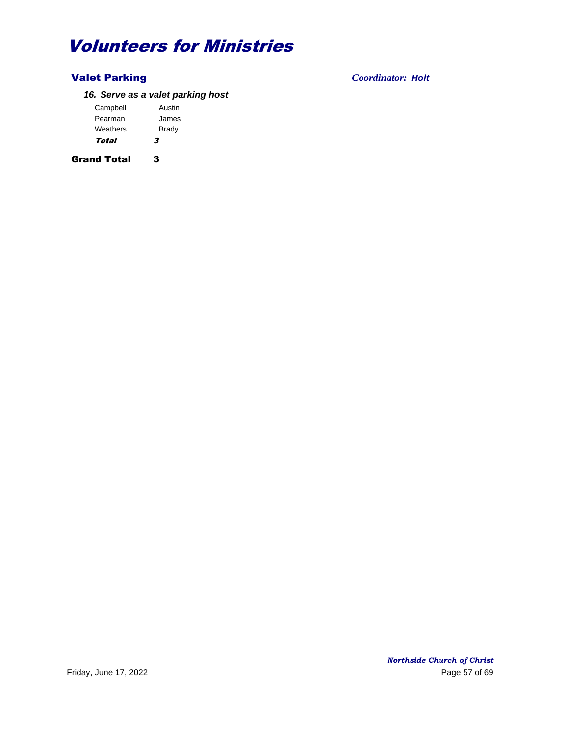## Valet Parking *Coordinator: Holt*

## *16. Serve as a valet parking host*

| Campbell | Austin |
|----------|--------|
| Pearman  | James  |
| Weathers | Brady  |
| Total    | 3      |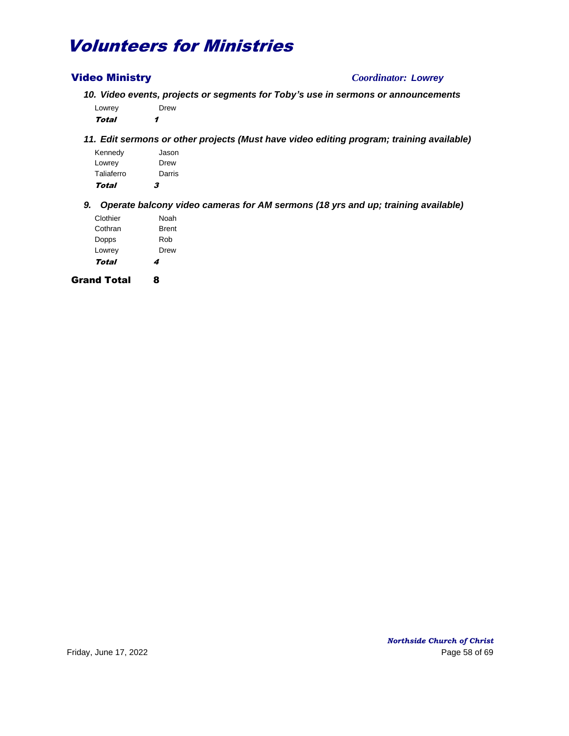## Video Ministry *Coordinator: Lowrey*

*10. Video events, projects or segments for Toby's use in sermons or announcements* Lowrey Drew

Total 1

*11. Edit sermons or other projects (Must have video editing program; training available)*

| Total      | 3      |
|------------|--------|
| Taliaferro | Darris |
| Lowrey     | Drew   |
| Kennedy    | Jason  |

*9. Operate balcony video cameras for AM sermons (18 yrs and up; training available)*

| Total    | 4            |
|----------|--------------|
| Lowrey   | Drew         |
| Dopps    | Rob          |
| Cothran  | <b>Brent</b> |
| Clothier | Noah         |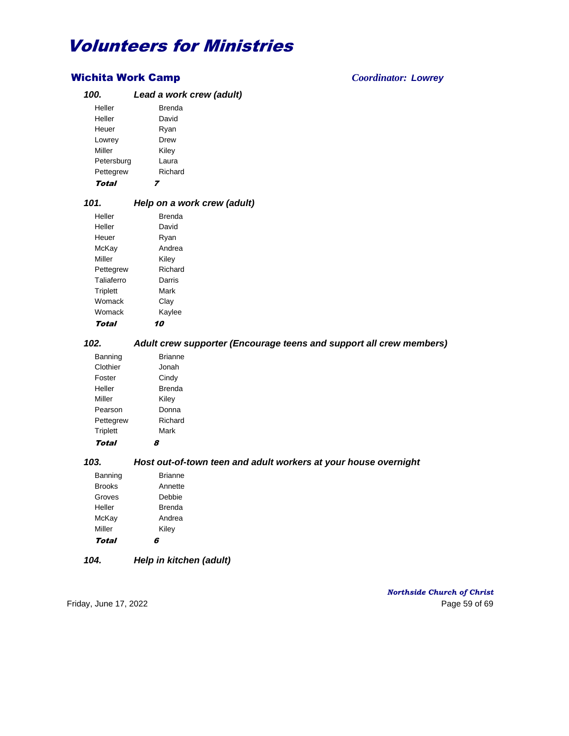## Wichita Work Camp *Coordinator: Lowrey*

| 100.       | Lead a work crew (adult) |
|------------|--------------------------|
| Heller     | <b>Brenda</b>            |
| Heller     | David                    |
| Heuer      | Ryan                     |
| Lowrey     | Drew                     |
| Miller     | Kiley                    |
| Petersburg | Laura                    |
| Pettegrew  | Richard                  |
| Total      |                          |

## *101. Help on a work crew (adult)*

| Heller     | <b>Brenda</b> |
|------------|---------------|
| Heller     | David         |
| Heuer      | Ryan          |
| McKay      | Andrea        |
| Miller     | Kiley         |
| Pettegrew  | Richard       |
| Taliaferro | Darris        |
| Triplett   | Mark          |
| Womack     | Clay          |
| Womack     | Kaylee        |
| Total      |               |

## *102. Adult crew supporter (Encourage teens and support all crew members)*

| Banning         | <b>Brianne</b> |
|-----------------|----------------|
| Clothier        | Jonah          |
| Foster          | Cindy          |
| Heller          | Brenda         |
| Miller          | Kiley          |
| Pearson         | Donna          |
| Pettegrew       | Richard        |
| <b>Triplett</b> | Mark           |
| . .             |                |

Total 8

## *103. Host out-of-town teen and adult workers at your house overnight*

| Banning       | <b>Brianne</b> |
|---------------|----------------|
| <b>Brooks</b> | Annette        |
| Groves        | Debbie         |
| Heller        | <b>Brenda</b>  |
| McKay         | Andrea         |
| Miller        | Kiley          |
| Total         |                |

## *104. Help in kitchen (adult)*

*Northside Church of Christ* Friday, June 17, 2022 **Page 59 of 69**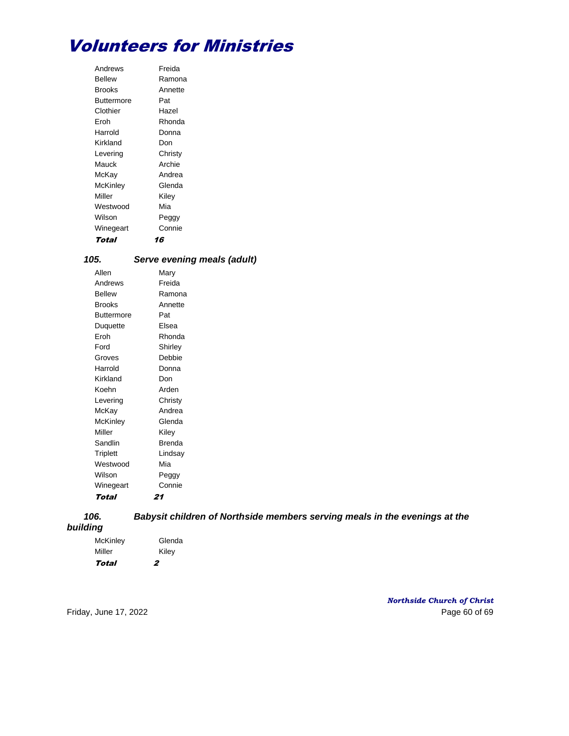| Andrews    | Freida  |
|------------|---------|
| Bellew     | Ramona  |
| Brooks     | Annette |
| Buttermore | Pat     |
| Clothier   | Hazel   |
| Froh       | Rhonda  |
| Harrold    | Donna   |
| Kirkland   | Don     |
| Levering   | Christy |
| Mauck      | Archie  |
| McKay      | Andrea  |
| McKinley   | Glenda  |
| Miller     | Kilev   |
| Westwood   | Mia     |
| Wilson     | Peggy   |
| Winegeart  | Connie  |
| Total      | 16      |

| 105.    | Serve evening meals (adult) |
|---------|-----------------------------|
| Allen   | Mary                        |
| Andrews | Freida                      |

| AINEWS            | -ieiud  |
|-------------------|---------|
| <b>Bellew</b>     | Ramona  |
| <b>Brooks</b>     | Annette |
| <b>Buttermore</b> | Pat     |
| Duquette          | Elsea   |
| Eroh              | Rhonda  |
| Ford              | Shirley |
| Groves            | Debbie  |
| Harrold           | Donna   |
| Kirkland          | Don     |
| Koehn             | Arden   |
| Levering          | Christy |
| McKay             | Andrea  |
| McKinley          | Glenda  |
| Miller            | Kiley   |
| Sandlin           | Brenda  |
| <b>Triplett</b>   | Lindsay |
| Westwood          | Mia     |
| Wilson            | Peggy   |
| Winegeart         | Connie  |
| Total             | 21      |

*building*

## *106. Babysit children of Northside members serving meals in the evenings at the*

| rumy     |        |
|----------|--------|
| McKinley | Glenda |
| Miller   | Kiley  |

Total 2

*Northside Church of Christ* Friday, June 17, 2022 Page 60 of 69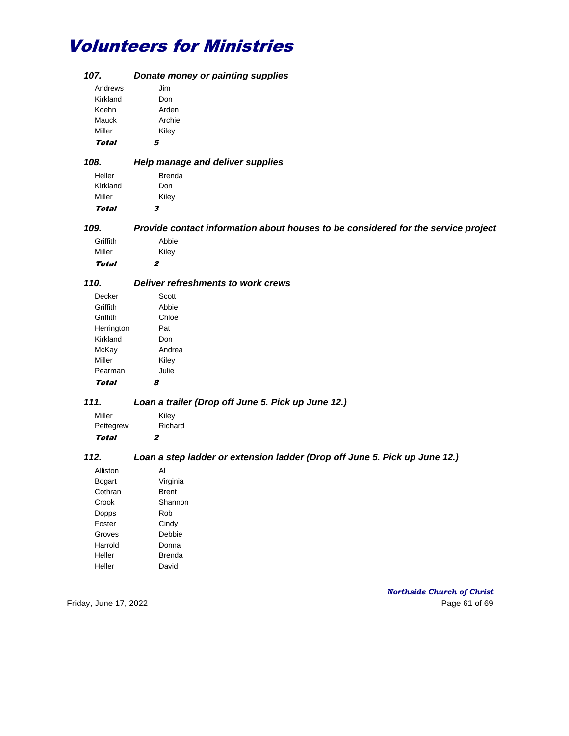| 107.          | Donate money or painting supplies                                                 |
|---------------|-----------------------------------------------------------------------------------|
| Andrews       | Jim                                                                               |
| Kirkland      | Don                                                                               |
| Koehn         | Arden                                                                             |
| Mauck         | Archie                                                                            |
| Miller        | Kiley                                                                             |
| Total         | 5                                                                                 |
| 108.          |                                                                                   |
|               | Help manage and deliver supplies                                                  |
| Heller        | <b>Brenda</b>                                                                     |
| Kirkland      | Don                                                                               |
| Miller        | Kiley                                                                             |
| Total         | 3                                                                                 |
| 109.          | Provide contact information about houses to be considered for the service project |
| Griffith      | Abbie                                                                             |
| Miller        | Kiley                                                                             |
| Total         | $\boldsymbol{z}$                                                                  |
| 110.          | Deliver refreshments to work crews                                                |
| Decker        | Scott                                                                             |
| Griffith      | Abbie                                                                             |
| Griffith      | Chloe                                                                             |
| Herrington    | Pat                                                                               |
| Kirkland      | Don                                                                               |
| McKay         | Andrea                                                                            |
| Miller        | Kiley                                                                             |
| Pearman       | Julie                                                                             |
| <b>Total</b>  | 8                                                                                 |
| 111.          | Loan a trailer (Drop off June 5. Pick up June 12.)                                |
|               |                                                                                   |
| Miller        | Kiley                                                                             |
| Pettegrew     | Richard                                                                           |
| <b>Total</b>  | $\boldsymbol{z}$                                                                  |
| 112.          | Loan a step ladder or extension ladder (Drop off June 5. Pick up June 12.)        |
| Alliston      | Al                                                                                |
| <b>Bogart</b> | Virginia                                                                          |
| Cothran       | <b>Brent</b>                                                                      |
| Crook         | Shannon                                                                           |
| Dopps         | Rob                                                                               |
| Foster        | Cindy                                                                             |
| Groves        | Debbie                                                                            |
| Harrold       | Donna                                                                             |
| Heller        | <b>Brenda</b>                                                                     |
| Heller        | David                                                                             |
|               |                                                                                   |

*Northside Church of Christ* Friday, June 17, 2022 Page 61 of 69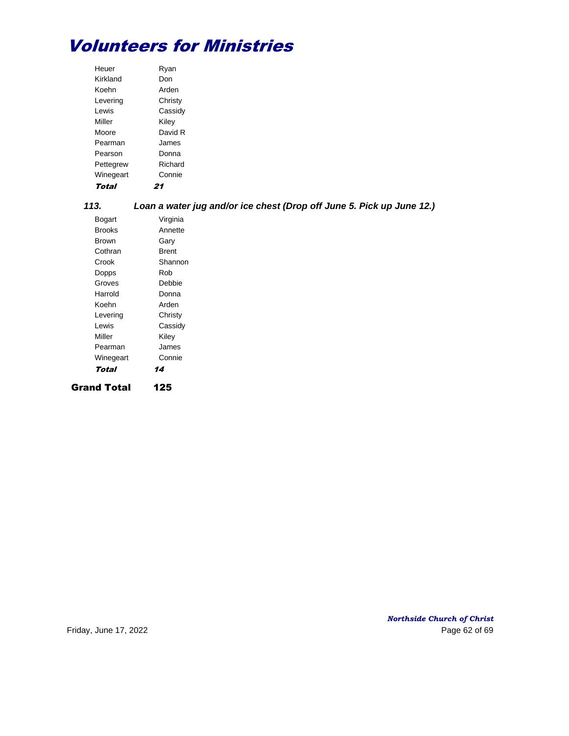| Heuer              | Ryan                                                                  |
|--------------------|-----------------------------------------------------------------------|
| Kirkland           | Don                                                                   |
| Koehn              | Arden                                                                 |
| Levering           | Christy                                                               |
| Lewis              | Cassidy                                                               |
| Miller             | Kiley                                                                 |
| Moore              | David R                                                               |
| Pearman            | James                                                                 |
| Pearson            | Donna                                                                 |
| Pettegrew          | Richard                                                               |
| Winegeart          | Connie                                                                |
| <b>Total</b>       | 21                                                                    |
| 113.               | Loan a water jug and/or ice chest (Drop off June 5. Pick up June 12.) |
| <b>Bogart</b>      | Virginia                                                              |
| <b>Brooks</b>      | Annette                                                               |
| <b>Brown</b>       | Gary                                                                  |
| Cothran            | <b>Brent</b>                                                          |
| Crook              | Shannon                                                               |
| Dopps              | Rob                                                                   |
| Groves             | Debbie                                                                |
| Harrold            | Donna                                                                 |
| Koehn              | Arden                                                                 |
| Levering           | Christy                                                               |
| Lewis              | Cassidy                                                               |
| Miller             | Kiley                                                                 |
| Pearman            | James                                                                 |
| Winegeart          | Connie                                                                |
| <b>Total</b>       | 14                                                                    |
| <b>Grand Total</b> | 125                                                                   |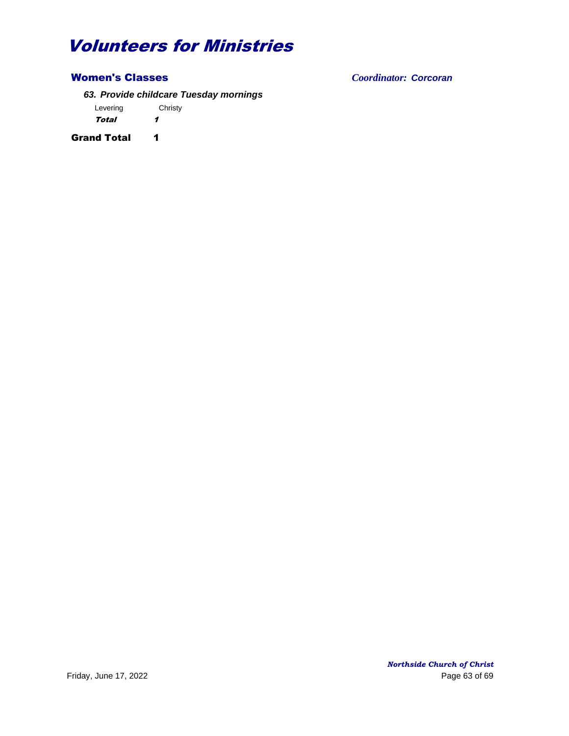## Women's Classes *Coordinator: Corcoran*

*63. Provide childcare Tuesday mornings*

Levering Christy Total 1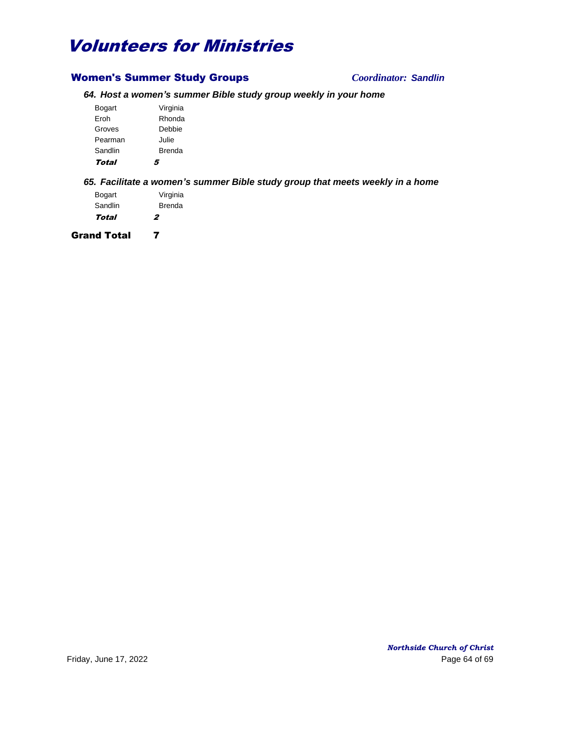## Women's Summer Study Groups *Coordinator: Sandlin*

## *64. Host a women's summer Bible study group weekly in your home*

| Total   | 5        |
|---------|----------|
| Sandlin | Brenda   |
| Pearman | Julie    |
| Groves  | Debbie   |
| Froh    | Rhonda   |
| Bogart  | Virginia |

## *65. Facilitate a women's summer Bible study group that meets weekly in a home*

| Bogart  | Virginia |
|---------|----------|
| Sandlin | Brenda   |
| Total   | 2        |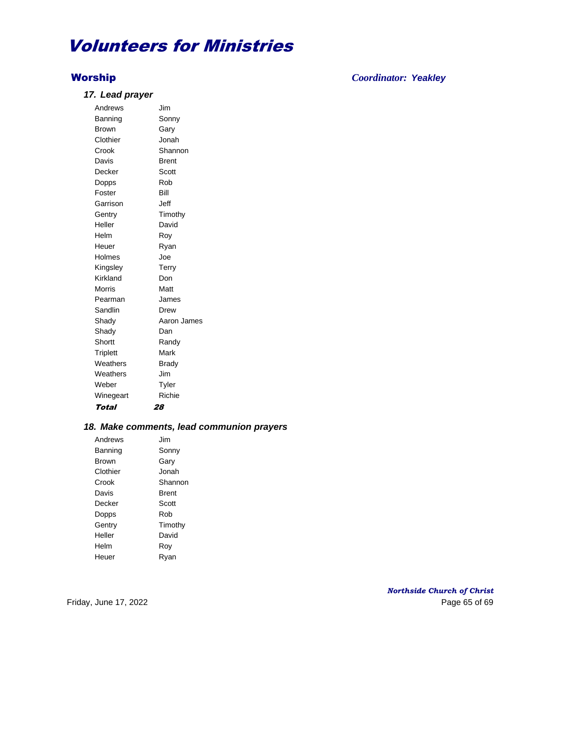### *17. Lead prayer*

Andrews Jim Banning Sonny Brown Gary Clothier Jonah Crook Shannon Davis **Brent** Decker Scott Dopps Rob Foster Bill Garrison Jeff Gentry Timothy Heller David Helm Roy Heuer Ryan Holmes Joe Kingsley Terry Kirkland Don Morris Matt Pearman James Sandlin Drew Shady Aaron James Shady Dan Shortt Randy Triplett Mark Weathers **Brady** Weathers **Jim** Weber Tyler Winegeart Richie Total 28

#### *18. Make comments, lead communion prayers*

Andrews Jim Banning Sonny Brown Gary Clothier Jonah Crook Shannon Davis **Brent** Decker Scott Dopps Rob Gentry Timothy Heller David Helm Roy Heuer Ryan

Worship *Coordinator: Yeakley*

*Northside Church of Christ* Friday, June 17, 2022 **Page 65 of 69**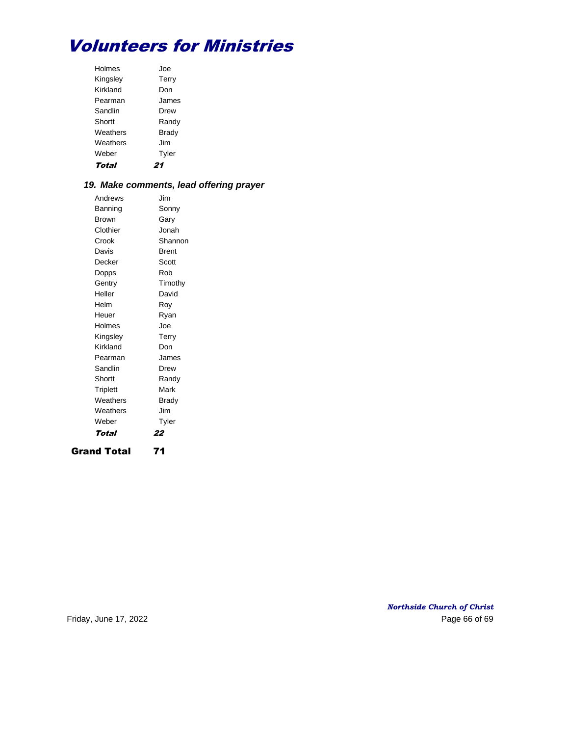| Total    |              |
|----------|--------------|
| Weber    | Tyler        |
| Weathers | Jim          |
| Weathers | <b>Brady</b> |
| Shortt   | Randy        |
| Sandlin  | Drew         |
| Pearman  | James        |
| Kirkland | Don          |
| Kingsley | Terry        |
| Holmes   | .Joe         |

## *19. Make comments, lead offering prayer*

| Grand Total     | 71      |
|-----------------|---------|
| Total           | 22      |
| Weber           | Tyler   |
| Weathers        | Jim     |
| Weathers        | Brady   |
| <b>Triplett</b> | Mark    |
| Shortt          | Randy   |
| Sandlin         | Drew    |
| Pearman         | James   |
| Kirkland        | Don     |
| Kingsley        | Terry   |
| Holmes          | Joe     |
| Heuer           | Ryan    |
| Helm            | Rov     |
| Heller          | David   |
| Gentry          | Timothy |
| Dopps           | Rob     |
| Decker          | Scott   |
| Davis           | Brent   |
| Crook           | Shannon |
| Clothier        | Jonah   |
| Brown           | Gary    |
| Banning         | Sonny   |
| Andrews         | Jim     |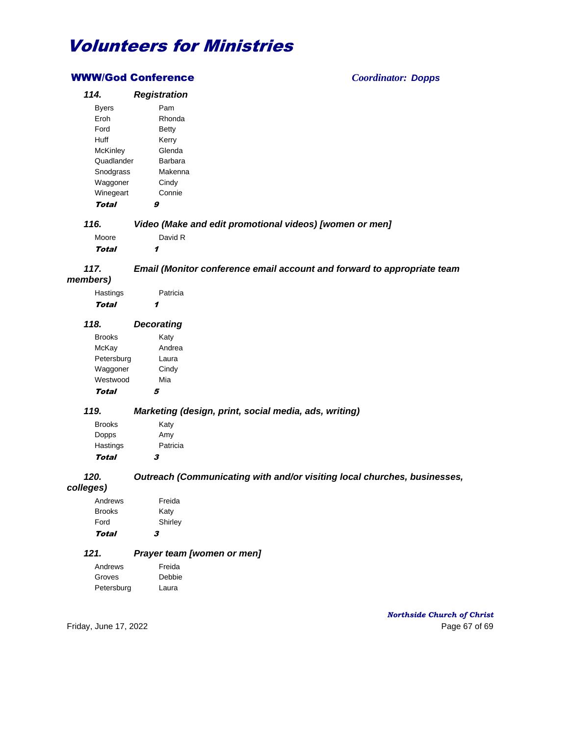## WWW/God Conference *Coordinator: Dopps*

| 114.              | <b>Registration</b>                                                      |
|-------------------|--------------------------------------------------------------------------|
| <b>Byers</b>      | Pam                                                                      |
| Eroh              | Rhonda                                                                   |
| Ford              | <b>Betty</b>                                                             |
| Huff              | Kerry                                                                    |
| McKinley          | Glenda                                                                   |
| Quadlander        | Barbara                                                                  |
| Snodgrass         | Makenna                                                                  |
| Waggoner          | Cindy                                                                    |
| Winegeart         | Connie                                                                   |
| <b>Total</b>      | 9                                                                        |
| 116.              | Video (Make and edit promotional videos) [women or men]                  |
| Moore             | David R                                                                  |
| Total             | 1                                                                        |
|                   |                                                                          |
| 117.              | Email (Monitor conference email account and forward to appropriate team  |
| members)          |                                                                          |
| Hastings          | Patricia                                                                 |
| <b>Total</b>      | 1                                                                        |
|                   |                                                                          |
| 118.              | <b>Decorating</b>                                                        |
| <b>Brooks</b>     | Katy                                                                     |
| McKay             | Andrea                                                                   |
| Petersburg        | Laura                                                                    |
| Waggoner          | Cindy                                                                    |
| Westwood          | Mia                                                                      |
| Total             | 5                                                                        |
| 119.              | Marketing (design, print, social media, ads, writing)                    |
| <b>Brooks</b>     | Katy                                                                     |
| Dopps             | Amy                                                                      |
| Hastings          | Patricia                                                                 |
| <b>Total</b>      | 3                                                                        |
| 120.<br>colleges) | Outreach (Communicating with and/or visiting local churches, businesses, |
| Andrews           | Freida                                                                   |
| <b>Brooks</b>     | Katy                                                                     |
| Ford              | Shirley                                                                  |
| <b>Total</b>      | 3                                                                        |
| 121.              | Prayer team [women or men]                                               |
| Andrews           | Freida                                                                   |
| Groves            | Debbie                                                                   |
| Petersburg        | Laura                                                                    |

*Northside Church of Christ* Friday, June 17, 2022 Page 67 of 69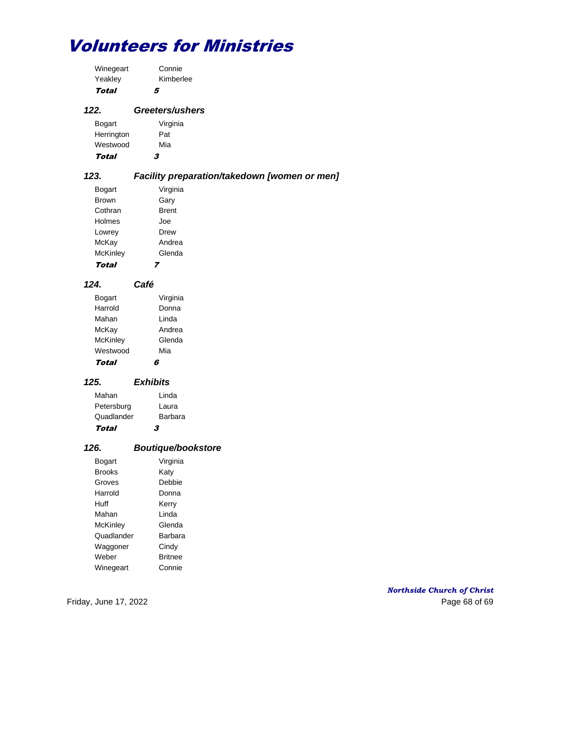| Winegeart  | Connie                 |
|------------|------------------------|
| Yeakley    | Kimberlee              |
| Total      | 5                      |
| 122.       | <b>Greeters/ushers</b> |
| Bogart     | Virginia               |
| Herrington | Pat                    |
| Westwood   | Mia                    |

Total 3

## *123. Facility preparation/takedown [women or men]*

| Bogart          | Virginia     |
|-----------------|--------------|
| <b>Brown</b>    | Gary         |
| Cothran         | <b>Brent</b> |
| Holmes          | .Joe         |
| Lowrey          | Drew         |
| McKay           | Andrea       |
| <b>McKinley</b> | Glenda       |
| Tota            |              |

| 124. | Café |
|------|------|
|      |      |

| Bogart          | Virginia |
|-----------------|----------|
| Harrold         | Donna    |
| Mahan           | I inda   |
| McKay           | Andrea   |
| <b>McKinley</b> | Glenda   |
| Westwood        | Mia      |
| Total           |          |

## *125. Exhibits*

| Mahan      | Linda   |
|------------|---------|
| Petersburg | Laura   |
| Quadlander | Barbara |
| Total      | 3       |

## *126. Boutique/bookstore*

| Bogart        | Virginia       |
|---------------|----------------|
| <b>Brooks</b> | Katy           |
| Groves        | Debbie         |
| Harrold       | Donna          |
| Huff          | Kerry          |
| Mahan         | I inda         |
| McKinley      | Glenda         |
| Quadlander    | <b>Barbara</b> |
| Waggoner      | Cindy          |
| Weber         | <b>Britnee</b> |
| Winegeart     | Connie         |

*Northside Church of Christ* Friday, June 17, 2022 Page 68 of 69